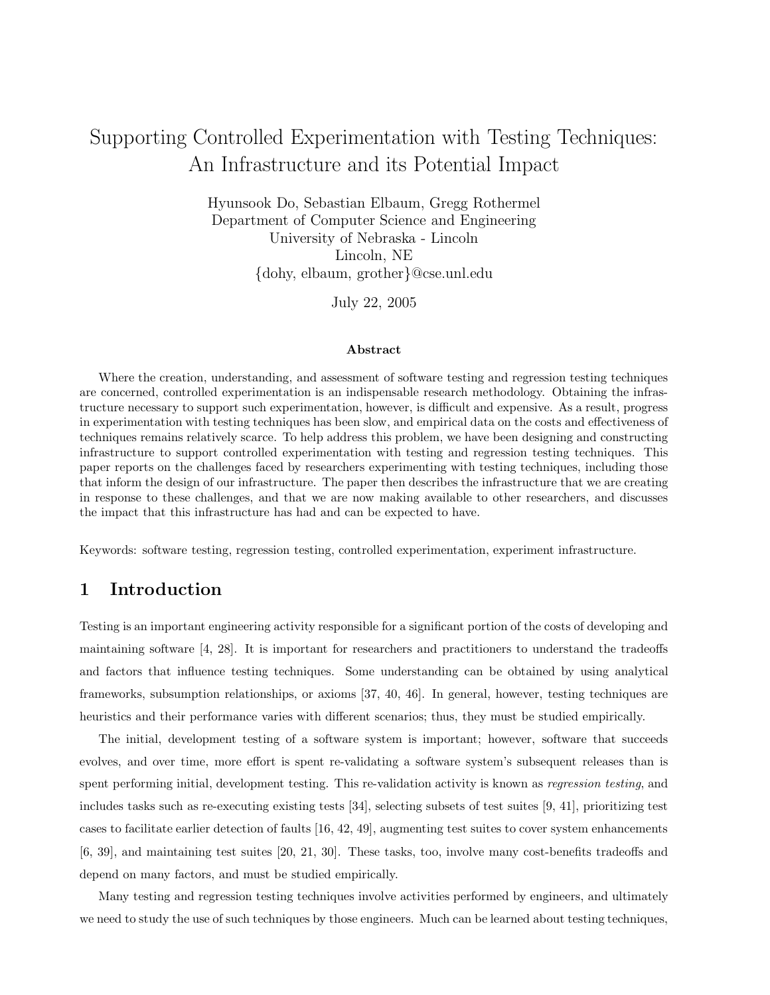# Supporting Controlled Experimentation with Testing Techniques: An Infrastructure and its Potential Impact

Hyunsook Do, Sebastian Elbaum, Gregg Rothermel Department of Computer Science and Engineering University of Nebraska - Lincoln Lincoln, NE {dohy, elbaum, grother}@cse.unl.edu

July 22, 2005

#### Abstract

Where the creation, understanding, and assessment of software testing and regression testing techniques are concerned, controlled experimentation is an indispensable research methodology. Obtaining the infrastructure necessary to support such experimentation, however, is difficult and expensive. As a result, progress in experimentation with testing techniques has been slow, and empirical data on the costs and effectiveness of techniques remains relatively scarce. To help address this problem, we have been designing and constructing infrastructure to support controlled experimentation with testing and regression testing techniques. This paper reports on the challenges faced by researchers experimenting with testing techniques, including those that inform the design of our infrastructure. The paper then describes the infrastructure that we are creating in response to these challenges, and that we are now making available to other researchers, and discusses the impact that this infrastructure has had and can be expected to have.

Keywords: software testing, regression testing, controlled experimentation, experiment infrastructure.

# 1 Introduction

Testing is an important engineering activity responsible for a significant portion of the costs of developing and maintaining software [4, 28]. It is important for researchers and practitioners to understand the tradeoffs and factors that influence testing techniques. Some understanding can be obtained by using analytical frameworks, subsumption relationships, or axioms [37, 40, 46]. In general, however, testing techniques are heuristics and their performance varies with different scenarios; thus, they must be studied empirically.

The initial, development testing of a software system is important; however, software that succeeds evolves, and over time, more effort is spent re-validating a software system's subsequent releases than is spent performing initial, development testing. This re-validation activity is known as regression testing, and includes tasks such as re-executing existing tests [34], selecting subsets of test suites [9, 41], prioritizing test cases to facilitate earlier detection of faults [16, 42, 49], augmenting test suites to cover system enhancements [6, 39], and maintaining test suites [20, 21, 30]. These tasks, too, involve many cost-benefits tradeoffs and depend on many factors, and must be studied empirically.

Many testing and regression testing techniques involve activities performed by engineers, and ultimately we need to study the use of such techniques by those engineers. Much can be learned about testing techniques,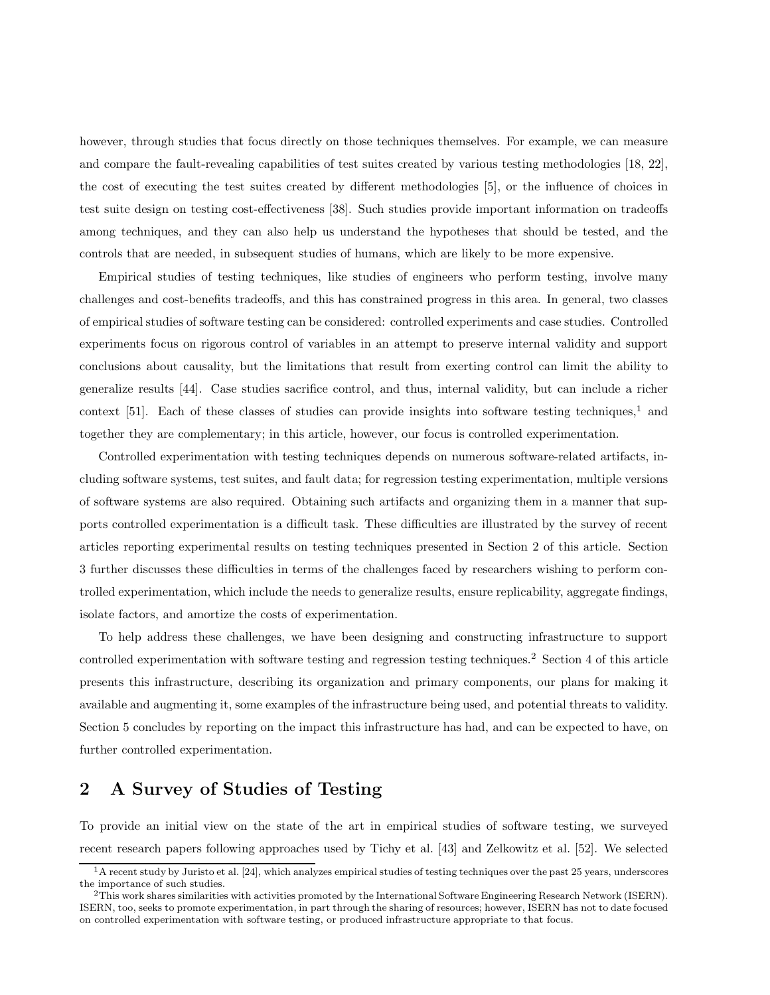however, through studies that focus directly on those techniques themselves. For example, we can measure and compare the fault-revealing capabilities of test suites created by various testing methodologies [18, 22], the cost of executing the test suites created by different methodologies [5], or the influence of choices in test suite design on testing cost-effectiveness [38]. Such studies provide important information on tradeoffs among techniques, and they can also help us understand the hypotheses that should be tested, and the controls that are needed, in subsequent studies of humans, which are likely to be more expensive.

Empirical studies of testing techniques, like studies of engineers who perform testing, involve many challenges and cost-benefits tradeoffs, and this has constrained progress in this area. In general, two classes of empirical studies of software testing can be considered: controlled experiments and case studies. Controlled experiments focus on rigorous control of variables in an attempt to preserve internal validity and support conclusions about causality, but the limitations that result from exerting control can limit the ability to generalize results [44]. Case studies sacrifice control, and thus, internal validity, but can include a richer context [51]. Each of these classes of studies can provide insights into software testing techniques,<sup>1</sup> and together they are complementary; in this article, however, our focus is controlled experimentation.

Controlled experimentation with testing techniques depends on numerous software-related artifacts, including software systems, test suites, and fault data; for regression testing experimentation, multiple versions of software systems are also required. Obtaining such artifacts and organizing them in a manner that supports controlled experimentation is a difficult task. These difficulties are illustrated by the survey of recent articles reporting experimental results on testing techniques presented in Section 2 of this article. Section 3 further discusses these difficulties in terms of the challenges faced by researchers wishing to perform controlled experimentation, which include the needs to generalize results, ensure replicability, aggregate findings, isolate factors, and amortize the costs of experimentation.

To help address these challenges, we have been designing and constructing infrastructure to support controlled experimentation with software testing and regression testing techniques.<sup>2</sup> Section 4 of this article presents this infrastructure, describing its organization and primary components, our plans for making it available and augmenting it, some examples of the infrastructure being used, and potential threats to validity. Section 5 concludes by reporting on the impact this infrastructure has had, and can be expected to have, on further controlled experimentation.

# 2 A Survey of Studies of Testing

To provide an initial view on the state of the art in empirical studies of software testing, we surveyed recent research papers following approaches used by Tichy et al. [43] and Zelkowitz et al. [52]. We selected

 $1$ A recent study by Juristo et al. [24], which analyzes empirical studies of testing techniques over the past 25 years, underscores the importance of such studies.

<sup>2</sup>This work shares similarities with activities promoted by the International Software Engineering Research Network (ISERN). ISERN, too, seeks to promote experimentation, in part through the sharing of resources; however, ISERN has not to date focused on controlled experimentation with software testing, or produced infrastructure appropriate to that focus.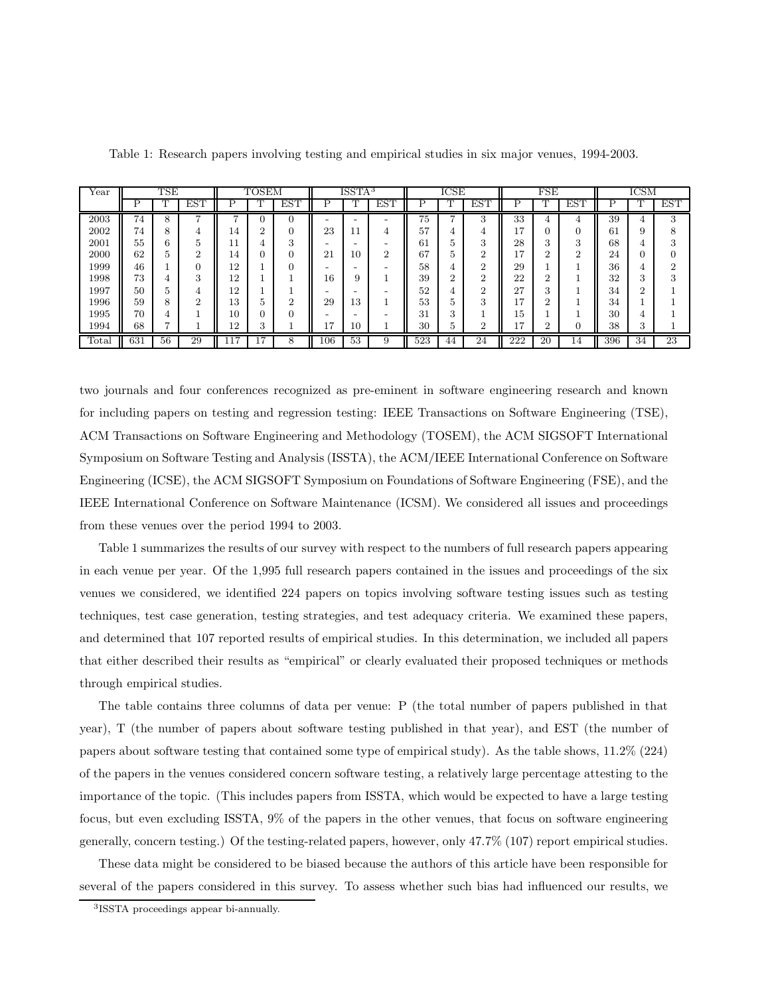| Year  | <b>TSE</b> |    | <b>TOSEM</b>  |            | ISSTA <sup>3</sup> |            |                          | ICSE                     |                |     | <b>FSE</b> |                 |                | <b>ICSM</b>     |            |     |                 |            |
|-------|------------|----|---------------|------------|--------------------|------------|--------------------------|--------------------------|----------------|-----|------------|-----------------|----------------|-----------------|------------|-----|-----------------|------------|
|       |            |    | <b>EST</b>    | D          |                    | <b>EST</b> | Ρ                        |                          | <b>EST</b>     | רד  |            | EST             | D              |                 | <b>EST</b> | D   |                 | <b>EST</b> |
| 2003  | 74         |    |               |            |                    |            | $\overline{\phantom{0}}$ |                          |                | 75  |            | o<br>ð          | 33             | 4               | 4          | 39  | 4               | 5          |
| 2002  | 74         |    | 4             | 14         | $\Omega$           |            | 23                       | 11                       | 4              | 57  | 4          | 4               | 17             |                 |            | 61  |                 |            |
| 2001  | 55         |    | Ð             |            | 4                  | ച          | $\overline{\phantom{a}}$ |                          |                | 61  |            | $\Omega$        | 28             | $\Omega$<br>. , | 3          | 68  |                 |            |
| 2000  | 62         |    | $\mathcal{D}$ | 14         |                    |            | 21                       | 10                       | $\overline{2}$ | 67  |            | $\Omega$        | Ð<br>Ŧ١        | $\Omega$        | റ          | 24  |                 |            |
| 1999  | 46         |    |               | 1 ດ<br>⊥ 4 |                    |            | $\overline{\phantom{0}}$ | $\overline{\phantom{0}}$ |                | 58  | 4          | $\Omega$        | 29             |                 |            | 36  |                 |            |
| 1998  | 73         |    | $\Omega$      | 12         |                    |            | 16                       | 9                        |                | 39  | c          | $\Omega$        | 22             | $\Omega$        |            | 32  | $\Omega$<br>. . |            |
| 1997  | 50         |    |               | 12         |                    |            | $\overline{\phantom{0}}$ | -                        |                | 52  | 4          | $\Omega$        | $\Omega$<br>41 | ິ<br>. ,        |            | 34  | ິ               |            |
| 1996  | 59         |    | റ             | 13         | h,                 | $\Omega$   | 29                       | 13                       |                | 53  |            | $\Omega$<br>- 1 | l (            | $\Omega$        |            | 34  |                 |            |
| 1995  | 70         |    |               | 10         |                    |            | $\overline{\phantom{0}}$ | $\overline{\phantom{0}}$ |                | 31  | .,         |                 | 15             |                 |            | 30  |                 |            |
| 1994  | 68         |    |               | 12         | $\Omega$<br>Ő      |            | $\overline{ }$<br>ı.     | 10                       |                | 30  |            | $\Omega$        | ∽<br>1 I       | $\Omega$        |            | 38  | ച<br>Ω          |            |
| Total | 631        | 56 | 29            | 17         | $\overline{ }$     | Δ          | 106                      | 53                       | 9              | 523 | 44         | 24              | 222            | 20              | 14         | 396 | 34              | 23         |

Table 1: Research papers involving testing and empirical studies in six major venues, 1994-2003.

two journals and four conferences recognized as pre-eminent in software engineering research and known for including papers on testing and regression testing: IEEE Transactions on Software Engineering (TSE), ACM Transactions on Software Engineering and Methodology (TOSEM), the ACM SIGSOFT International Symposium on Software Testing and Analysis (ISSTA), the ACM/IEEE International Conference on Software Engineering (ICSE), the ACM SIGSOFT Symposium on Foundations of Software Engineering (FSE), and the IEEE International Conference on Software Maintenance (ICSM). We considered all issues and proceedings from these venues over the period 1994 to 2003.

Table 1 summarizes the results of our survey with respect to the numbers of full research papers appearing in each venue per year. Of the 1,995 full research papers contained in the issues and proceedings of the six venues we considered, we identified 224 papers on topics involving software testing issues such as testing techniques, test case generation, testing strategies, and test adequacy criteria. We examined these papers, and determined that 107 reported results of empirical studies. In this determination, we included all papers that either described their results as "empirical" or clearly evaluated their proposed techniques or methods through empirical studies.

The table contains three columns of data per venue: P (the total number of papers published in that year), T (the number of papers about software testing published in that year), and EST (the number of papers about software testing that contained some type of empirical study). As the table shows, 11.2% (224) of the papers in the venues considered concern software testing, a relatively large percentage attesting to the importance of the topic. (This includes papers from ISSTA, which would be expected to have a large testing focus, but even excluding ISSTA, 9% of the papers in the other venues, that focus on software engineering generally, concern testing.) Of the testing-related papers, however, only 47.7% (107) report empirical studies.

These data might be considered to be biased because the authors of this article have been responsible for several of the papers considered in this survey. To assess whether such bias had influenced our results, we

<sup>3</sup> ISSTA proceedings appear bi-annually.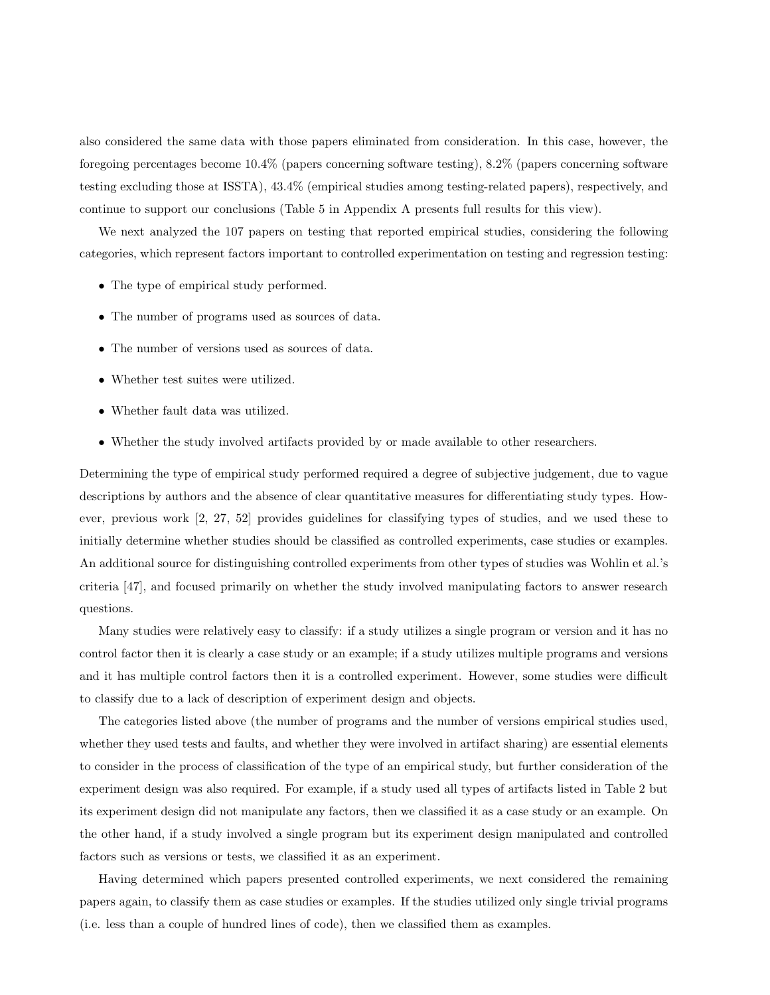also considered the same data with those papers eliminated from consideration. In this case, however, the foregoing percentages become 10.4% (papers concerning software testing), 8.2% (papers concerning software testing excluding those at ISSTA), 43.4% (empirical studies among testing-related papers), respectively, and continue to support our conclusions (Table 5 in Appendix A presents full results for this view).

We next analyzed the 107 papers on testing that reported empirical studies, considering the following categories, which represent factors important to controlled experimentation on testing and regression testing:

- The type of empirical study performed.
- The number of programs used as sources of data.
- The number of versions used as sources of data.
- Whether test suites were utilized.
- Whether fault data was utilized.
- Whether the study involved artifacts provided by or made available to other researchers.

Determining the type of empirical study performed required a degree of subjective judgement, due to vague descriptions by authors and the absence of clear quantitative measures for differentiating study types. However, previous work [2, 27, 52] provides guidelines for classifying types of studies, and we used these to initially determine whether studies should be classified as controlled experiments, case studies or examples. An additional source for distinguishing controlled experiments from other types of studies was Wohlin et al.'s criteria [47], and focused primarily on whether the study involved manipulating factors to answer research questions.

Many studies were relatively easy to classify: if a study utilizes a single program or version and it has no control factor then it is clearly a case study or an example; if a study utilizes multiple programs and versions and it has multiple control factors then it is a controlled experiment. However, some studies were difficult to classify due to a lack of description of experiment design and objects.

The categories listed above (the number of programs and the number of versions empirical studies used, whether they used tests and faults, and whether they were involved in artifact sharing) are essential elements to consider in the process of classification of the type of an empirical study, but further consideration of the experiment design was also required. For example, if a study used all types of artifacts listed in Table 2 but its experiment design did not manipulate any factors, then we classified it as a case study or an example. On the other hand, if a study involved a single program but its experiment design manipulated and controlled factors such as versions or tests, we classified it as an experiment.

Having determined which papers presented controlled experiments, we next considered the remaining papers again, to classify them as case studies or examples. If the studies utilized only single trivial programs (i.e. less than a couple of hundred lines of code), then we classified them as examples.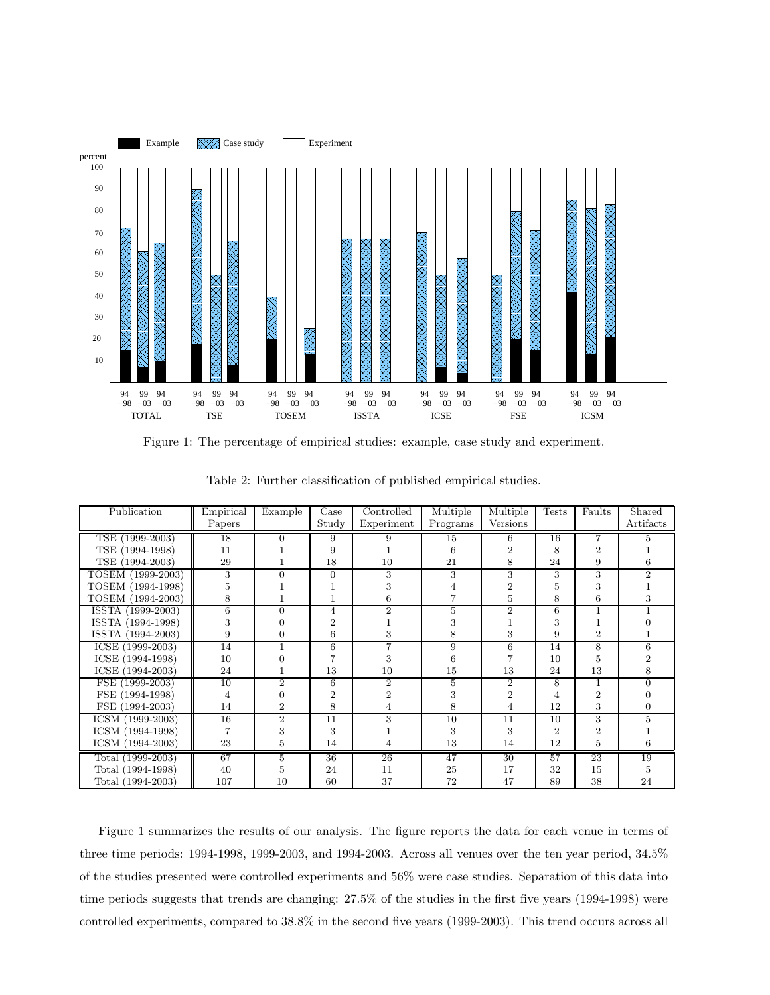

Figure 1: The percentage of empirical studies: example, case study and experiment.

| Publication       | Empirical | Example        | Case           | Controlled        | Multiple | Multiple       | <b>Tests</b>   | Faults         | Shared         |
|-------------------|-----------|----------------|----------------|-------------------|----------|----------------|----------------|----------------|----------------|
|                   | Papers    |                | Study          | Experiment        | Programs | Versions       |                |                | Artifacts      |
| TSE (1999-2003)   | 18        | $\Omega$       | 9              | 9                 | 15       | 6              | 16             | 7              | h              |
| TSE (1994-1998)   | 11        |                | 9              |                   | 6        |                | 8              | $\overline{2}$ |                |
| TSE (1994-2003)   | 29        |                | 18             | 10                | 21       | 8              | 24             | 9              |                |
| TOSEM (1999-2003) | 3         | $\Omega$       | 0              | 3                 | 3        | 3              | 3              | 3              | $\overline{2}$ |
| TOSEM (1994-1998) | 5         |                |                | 3                 |          | 2              | 5              | 3              |                |
| TOSEM (1994-2003) | 8         |                |                | 6                 |          | 5              | 8              | 6              |                |
| ISSTA (1999-2003) | 6         | $\Omega$       | 4              | $\mathcal{D}_{1}$ | 5        | $\overline{2}$ | 6              | $\mathbf{I}$   |                |
| ISSTA (1994-1998) | 3         |                | $\overline{2}$ |                   | 3        |                | 3              |                |                |
| ISSTA (1994-2003) | 9         | $\Omega$       | 6              | 3                 | 8        | 3              | 9              | $\overline{2}$ |                |
| ICSE (1999-2003)  | 14        |                | 6              |                   | 9        | 6              | 14             | 8              | 6              |
| ICSE (1994-1998)  | 10        |                |                | 3                 | 6        |                | 10             | 5              |                |
| ICSE (1994-2003)  | 24        |                | 13             | 10                | 15       | 13             | 24             | 13             |                |
| FSE (1999-2003)   | 10        | $\overline{2}$ | 6              | $\overline{2}$    | 5        | $\overline{2}$ | 8              |                | $\Omega$       |
| FSE (1994-1998)   | 4         |                | $\overline{2}$ | 2                 | 3        |                | 4              | $\overline{2}$ |                |
| FSE (1994-2003)   | 14        | $\overline{2}$ | 8              |                   | 8        | 4              | 12             | 3              |                |
| ICSM (1999-2003)  | 16        | $\overline{2}$ | 11             | 3                 | 10       | 11             | 10             | 3              | 5              |
| ICSM (1994-1998)  |           | 3              | 3              |                   | 3        | 3              | $\overline{2}$ | $\overline{2}$ |                |
| ICSM (1994-2003)  | 23        | 5              | 14             |                   | 13       | 14             | 12             | 5              | 6              |
| Total (1999-2003) | 67        | 5              | 36             | 26                | 47       | 30             | 57             | 23             | 19             |
| Total (1994-1998) | 40        | 5              | 24             | 11                | 25       | 17             | 32             | 15             |                |
| Total (1994-2003) | 107       | 10             | 60             | 37                | 72       | 47             | 89             | 38             | 24             |

Table 2: Further classification of published empirical studies.

Figure 1 summarizes the results of our analysis. The figure reports the data for each venue in terms of three time periods: 1994-1998, 1999-2003, and 1994-2003. Across all venues over the ten year period, 34.5% of the studies presented were controlled experiments and 56% were case studies. Separation of this data into time periods suggests that trends are changing: 27.5% of the studies in the first five years (1994-1998) were controlled experiments, compared to 38.8% in the second five years (1999-2003). This trend occurs across all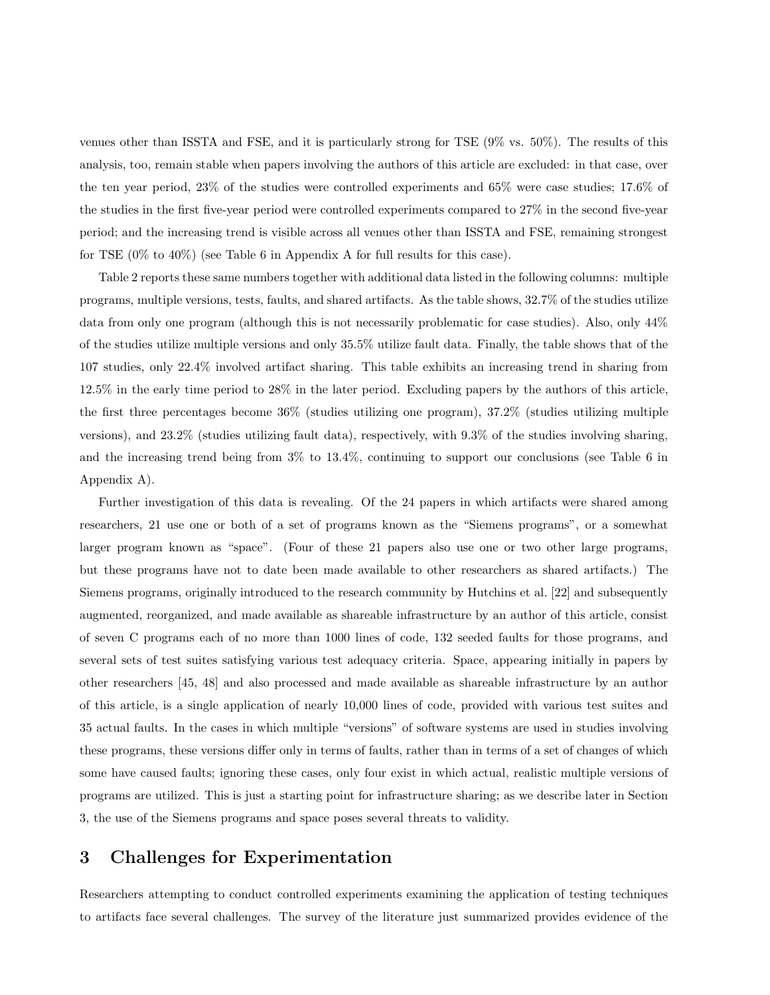venues other than ISSTA and FSE, and it is particularly strong for TSE (9% vs. 50%). The results of this analysis, too, remain stable when papers involving the authors of this article are excluded: in that case, over the ten year period, 23% of the studies were controlled experiments and 65% were case studies; 17.6% of the studies in the first five-year period were controlled experiments compared to 27% in the second five-year period; and the increasing trend is visible across all venues other than ISSTA and FSE, remaining strongest for TSE (0% to 40%) (see Table 6 in Appendix A for full results for this case).

Table 2 reports these same numbers together with additional data listed in the following columns: multiple programs, multiple versions, tests, faults, and shared artifacts. As the table shows, 32.7% of the studies utilize data from only one program (although this is not necessarily problematic for case studies). Also, only 44% of the studies utilize multiple versions and only 35.5% utilize fault data. Finally, the table shows that of the 107 studies, only 22.4% involved artifact sharing. This table exhibits an increasing trend in sharing from 12.5% in the early time period to 28% in the later period. Excluding papers by the authors of this article, the first three percentages become 36% (studies utilizing one program), 37.2% (studies utilizing multiple versions), and 23.2% (studies utilizing fault data), respectively, with 9.3% of the studies involving sharing, and the increasing trend being from 3% to 13.4%, continuing to support our conclusions (see Table 6 in Appendix A).

Further investigation of this data is revealing. Of the 24 papers in which artifacts were shared among researchers, 21 use one or both of a set of programs known as the "Siemens programs", or a somewhat larger program known as "space". (Four of these 21 papers also use one or two other large programs, but these programs have not to date been made available to other researchers as shared artifacts.) The Siemens programs, originally introduced to the research community by Hutchins et al. [22] and subsequently augmented, reorganized, and made available as shareable infrastructure by an author of this article, consist of seven C programs each of no more than 1000 lines of code, 132 seeded faults for those programs, and several sets of test suites satisfying various test adequacy criteria. Space, appearing initially in papers by other researchers [45, 48] and also processed and made available as shareable infrastructure by an author of this article, is a single application of nearly 10,000 lines of code, provided with various test suites and 35 actual faults. In the cases in which multiple "versions" of software systems are used in studies involving these programs, these versions differ only in terms of faults, rather than in terms of a set of changes of which some have caused faults; ignoring these cases, only four exist in which actual, realistic multiple versions of programs are utilized. This is just a starting point for infrastructure sharing; as we describe later in Section 3, the use of the Siemens programs and space poses several threats to validity.

# 3 Challenges for Experimentation

Researchers attempting to conduct controlled experiments examining the application of testing techniques to artifacts face several challenges. The survey of the literature just summarized provides evidence of the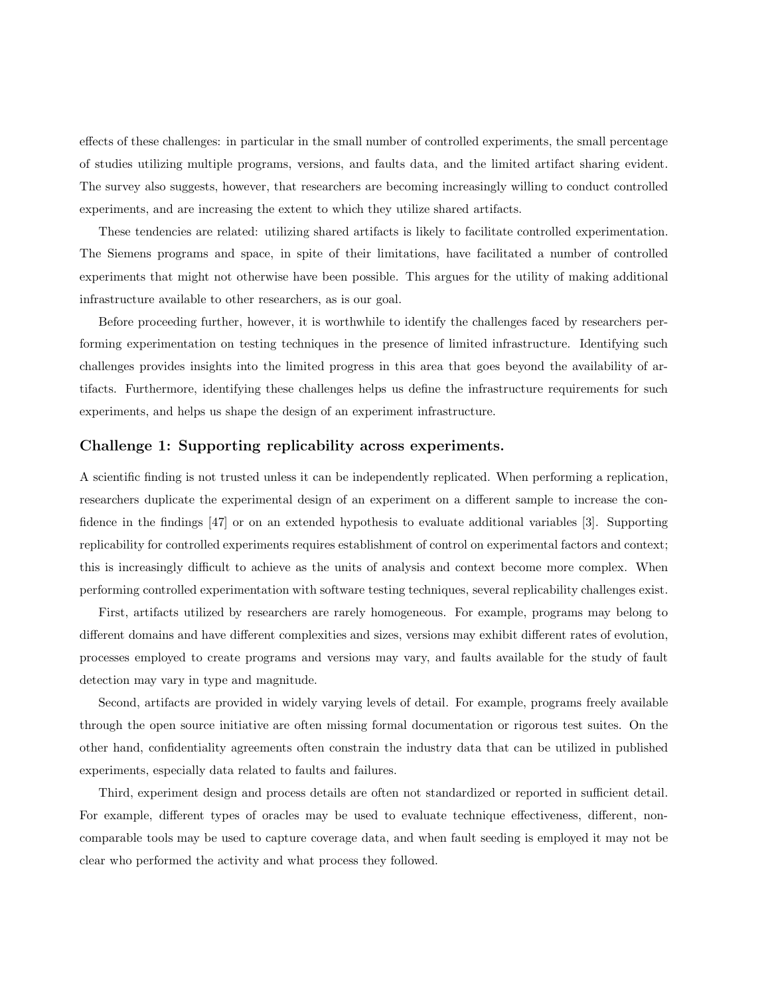effects of these challenges: in particular in the small number of controlled experiments, the small percentage of studies utilizing multiple programs, versions, and faults data, and the limited artifact sharing evident. The survey also suggests, however, that researchers are becoming increasingly willing to conduct controlled experiments, and are increasing the extent to which they utilize shared artifacts.

These tendencies are related: utilizing shared artifacts is likely to facilitate controlled experimentation. The Siemens programs and space, in spite of their limitations, have facilitated a number of controlled experiments that might not otherwise have been possible. This argues for the utility of making additional infrastructure available to other researchers, as is our goal.

Before proceeding further, however, it is worthwhile to identify the challenges faced by researchers performing experimentation on testing techniques in the presence of limited infrastructure. Identifying such challenges provides insights into the limited progress in this area that goes beyond the availability of artifacts. Furthermore, identifying these challenges helps us define the infrastructure requirements for such experiments, and helps us shape the design of an experiment infrastructure.

### Challenge 1: Supporting replicability across experiments.

A scientific finding is not trusted unless it can be independently replicated. When performing a replication, researchers duplicate the experimental design of an experiment on a different sample to increase the confidence in the findings [47] or on an extended hypothesis to evaluate additional variables [3]. Supporting replicability for controlled experiments requires establishment of control on experimental factors and context; this is increasingly difficult to achieve as the units of analysis and context become more complex. When performing controlled experimentation with software testing techniques, several replicability challenges exist.

First, artifacts utilized by researchers are rarely homogeneous. For example, programs may belong to different domains and have different complexities and sizes, versions may exhibit different rates of evolution, processes employed to create programs and versions may vary, and faults available for the study of fault detection may vary in type and magnitude.

Second, artifacts are provided in widely varying levels of detail. For example, programs freely available through the open source initiative are often missing formal documentation or rigorous test suites. On the other hand, confidentiality agreements often constrain the industry data that can be utilized in published experiments, especially data related to faults and failures.

Third, experiment design and process details are often not standardized or reported in sufficient detail. For example, different types of oracles may be used to evaluate technique effectiveness, different, noncomparable tools may be used to capture coverage data, and when fault seeding is employed it may not be clear who performed the activity and what process they followed.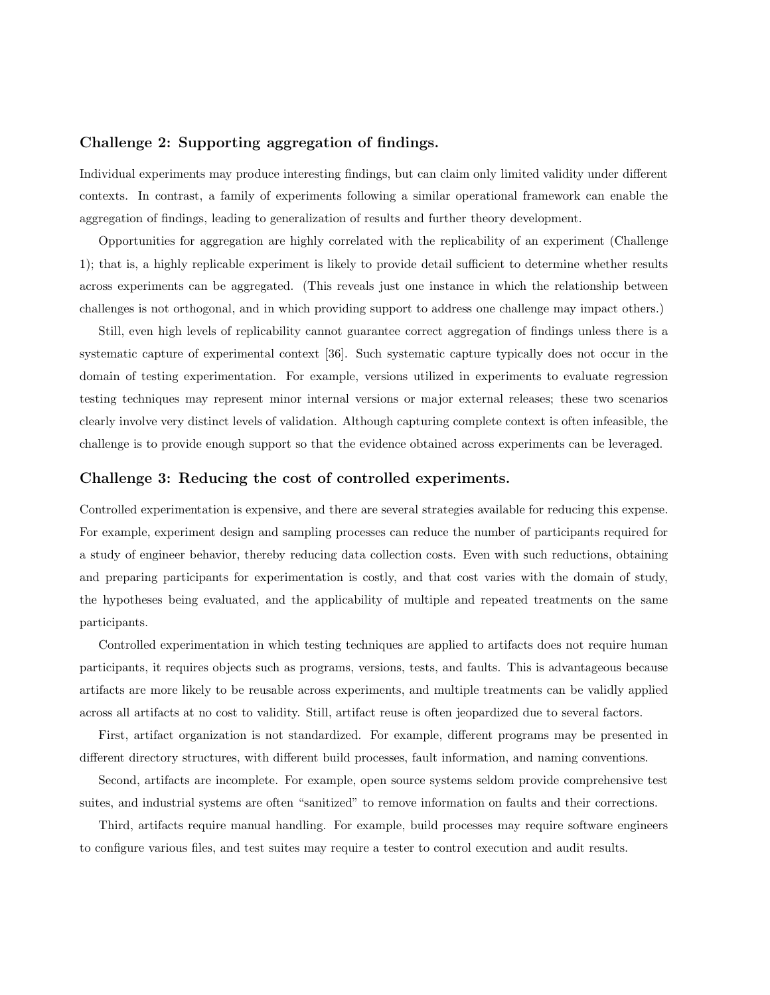### Challenge 2: Supporting aggregation of findings.

Individual experiments may produce interesting findings, but can claim only limited validity under different contexts. In contrast, a family of experiments following a similar operational framework can enable the aggregation of findings, leading to generalization of results and further theory development.

Opportunities for aggregation are highly correlated with the replicability of an experiment (Challenge 1); that is, a highly replicable experiment is likely to provide detail sufficient to determine whether results across experiments can be aggregated. (This reveals just one instance in which the relationship between challenges is not orthogonal, and in which providing support to address one challenge may impact others.)

Still, even high levels of replicability cannot guarantee correct aggregation of findings unless there is a systematic capture of experimental context [36]. Such systematic capture typically does not occur in the domain of testing experimentation. For example, versions utilized in experiments to evaluate regression testing techniques may represent minor internal versions or major external releases; these two scenarios clearly involve very distinct levels of validation. Although capturing complete context is often infeasible, the challenge is to provide enough support so that the evidence obtained across experiments can be leveraged.

#### Challenge 3: Reducing the cost of controlled experiments.

Controlled experimentation is expensive, and there are several strategies available for reducing this expense. For example, experiment design and sampling processes can reduce the number of participants required for a study of engineer behavior, thereby reducing data collection costs. Even with such reductions, obtaining and preparing participants for experimentation is costly, and that cost varies with the domain of study, the hypotheses being evaluated, and the applicability of multiple and repeated treatments on the same participants.

Controlled experimentation in which testing techniques are applied to artifacts does not require human participants, it requires objects such as programs, versions, tests, and faults. This is advantageous because artifacts are more likely to be reusable across experiments, and multiple treatments can be validly applied across all artifacts at no cost to validity. Still, artifact reuse is often jeopardized due to several factors.

First, artifact organization is not standardized. For example, different programs may be presented in different directory structures, with different build processes, fault information, and naming conventions.

Second, artifacts are incomplete. For example, open source systems seldom provide comprehensive test suites, and industrial systems are often "sanitized" to remove information on faults and their corrections.

Third, artifacts require manual handling. For example, build processes may require software engineers to configure various files, and test suites may require a tester to control execution and audit results.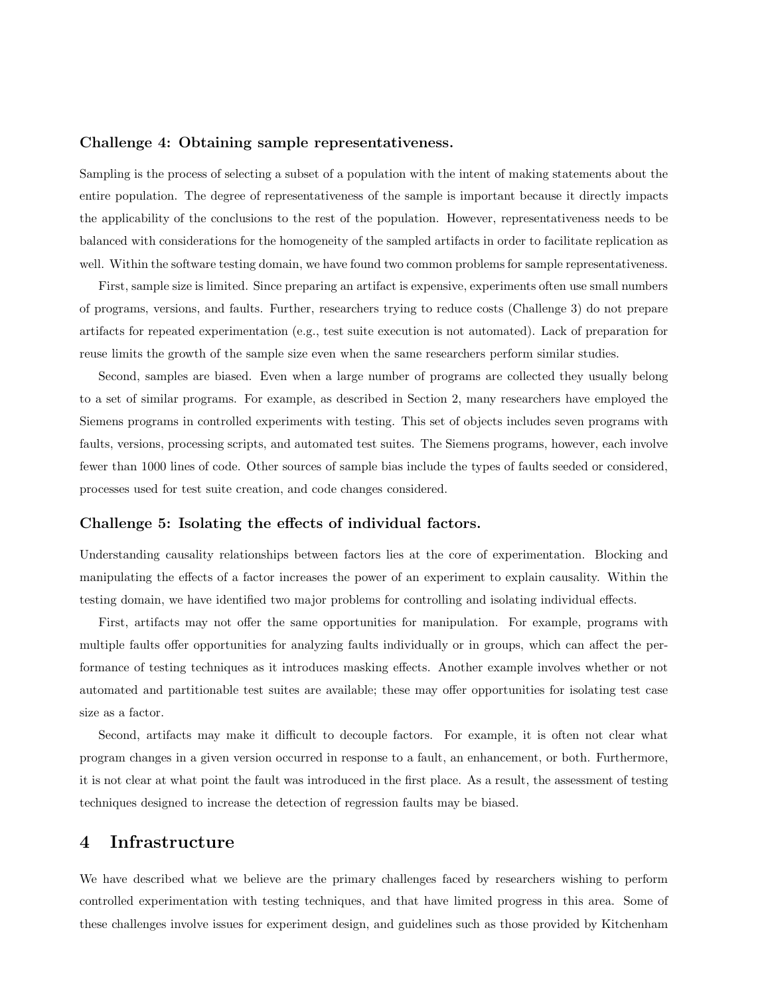#### Challenge 4: Obtaining sample representativeness.

Sampling is the process of selecting a subset of a population with the intent of making statements about the entire population. The degree of representativeness of the sample is important because it directly impacts the applicability of the conclusions to the rest of the population. However, representativeness needs to be balanced with considerations for the homogeneity of the sampled artifacts in order to facilitate replication as well. Within the software testing domain, we have found two common problems for sample representativeness.

First, sample size is limited. Since preparing an artifact is expensive, experiments often use small numbers of programs, versions, and faults. Further, researchers trying to reduce costs (Challenge 3) do not prepare artifacts for repeated experimentation (e.g., test suite execution is not automated). Lack of preparation for reuse limits the growth of the sample size even when the same researchers perform similar studies.

Second, samples are biased. Even when a large number of programs are collected they usually belong to a set of similar programs. For example, as described in Section 2, many researchers have employed the Siemens programs in controlled experiments with testing. This set of objects includes seven programs with faults, versions, processing scripts, and automated test suites. The Siemens programs, however, each involve fewer than 1000 lines of code. Other sources of sample bias include the types of faults seeded or considered, processes used for test suite creation, and code changes considered.

### Challenge 5: Isolating the effects of individual factors.

Understanding causality relationships between factors lies at the core of experimentation. Blocking and manipulating the effects of a factor increases the power of an experiment to explain causality. Within the testing domain, we have identified two major problems for controlling and isolating individual effects.

First, artifacts may not offer the same opportunities for manipulation. For example, programs with multiple faults offer opportunities for analyzing faults individually or in groups, which can affect the performance of testing techniques as it introduces masking effects. Another example involves whether or not automated and partitionable test suites are available; these may offer opportunities for isolating test case size as a factor.

Second, artifacts may make it difficult to decouple factors. For example, it is often not clear what program changes in a given version occurred in response to a fault, an enhancement, or both. Furthermore, it is not clear at what point the fault was introduced in the first place. As a result, the assessment of testing techniques designed to increase the detection of regression faults may be biased.

## 4 Infrastructure

We have described what we believe are the primary challenges faced by researchers wishing to perform controlled experimentation with testing techniques, and that have limited progress in this area. Some of these challenges involve issues for experiment design, and guidelines such as those provided by Kitchenham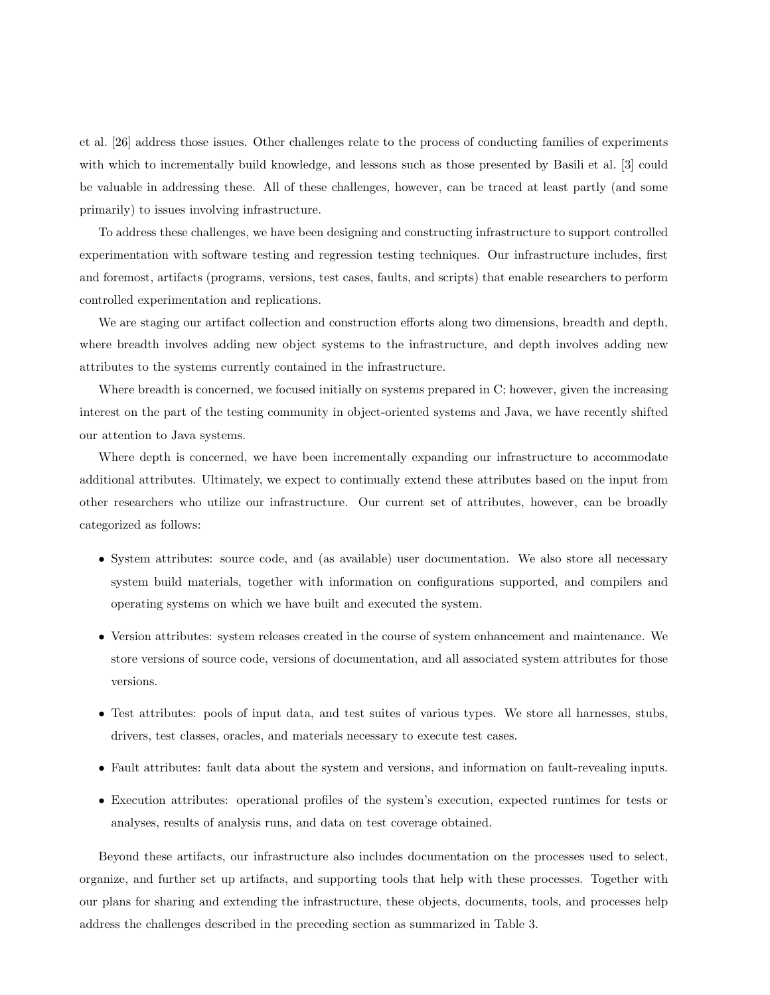et al. [26] address those issues. Other challenges relate to the process of conducting families of experiments with which to incrementally build knowledge, and lessons such as those presented by Basili et al. [3] could be valuable in addressing these. All of these challenges, however, can be traced at least partly (and some primarily) to issues involving infrastructure.

To address these challenges, we have been designing and constructing infrastructure to support controlled experimentation with software testing and regression testing techniques. Our infrastructure includes, first and foremost, artifacts (programs, versions, test cases, faults, and scripts) that enable researchers to perform controlled experimentation and replications.

We are staging our artifact collection and construction efforts along two dimensions, breadth and depth, where breadth involves adding new object systems to the infrastructure, and depth involves adding new attributes to the systems currently contained in the infrastructure.

Where breadth is concerned, we focused initially on systems prepared in C; however, given the increasing interest on the part of the testing community in object-oriented systems and Java, we have recently shifted our attention to Java systems.

Where depth is concerned, we have been incrementally expanding our infrastructure to accommodate additional attributes. Ultimately, we expect to continually extend these attributes based on the input from other researchers who utilize our infrastructure. Our current set of attributes, however, can be broadly categorized as follows:

- System attributes: source code, and (as available) user documentation. We also store all necessary system build materials, together with information on configurations supported, and compilers and operating systems on which we have built and executed the system.
- Version attributes: system releases created in the course of system enhancement and maintenance. We store versions of source code, versions of documentation, and all associated system attributes for those versions.
- Test attributes: pools of input data, and test suites of various types. We store all harnesses, stubs, drivers, test classes, oracles, and materials necessary to execute test cases.
- Fault attributes: fault data about the system and versions, and information on fault-revealing inputs.
- Execution attributes: operational profiles of the system's execution, expected runtimes for tests or analyses, results of analysis runs, and data on test coverage obtained.

Beyond these artifacts, our infrastructure also includes documentation on the processes used to select, organize, and further set up artifacts, and supporting tools that help with these processes. Together with our plans for sharing and extending the infrastructure, these objects, documents, tools, and processes help address the challenges described in the preceding section as summarized in Table 3.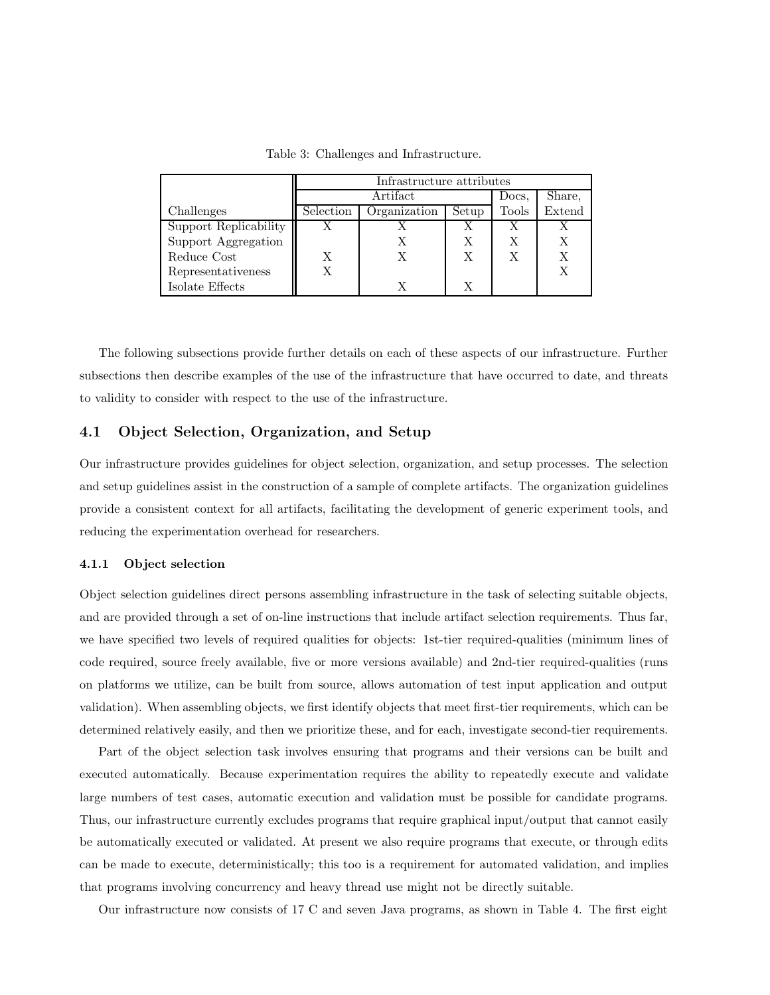|                       |           | Infrastructure attributes |       |       |        |  |  |  |
|-----------------------|-----------|---------------------------|-------|-------|--------|--|--|--|
|                       |           | Artifact<br>Docs.         |       |       |        |  |  |  |
| Challenges            | Selection | Organization              | Setup | Tools | Extend |  |  |  |
| Support Replicability |           |                           |       |       |        |  |  |  |
| Support Aggregation   |           |                           |       |       | X      |  |  |  |
| Reduce Cost           | X         |                           |       |       | X      |  |  |  |
| Representativeness    | Х         |                           |       |       | X      |  |  |  |
| Isolate Effects       |           |                           |       |       |        |  |  |  |

Table 3: Challenges and Infrastructure.

The following subsections provide further details on each of these aspects of our infrastructure. Further subsections then describe examples of the use of the infrastructure that have occurred to date, and threats to validity to consider with respect to the use of the infrastructure.

### 4.1 Object Selection, Organization, and Setup

Our infrastructure provides guidelines for object selection, organization, and setup processes. The selection and setup guidelines assist in the construction of a sample of complete artifacts. The organization guidelines provide a consistent context for all artifacts, facilitating the development of generic experiment tools, and reducing the experimentation overhead for researchers.

#### 4.1.1 Object selection

Object selection guidelines direct persons assembling infrastructure in the task of selecting suitable objects, and are provided through a set of on-line instructions that include artifact selection requirements. Thus far, we have specified two levels of required qualities for objects: 1st-tier required-qualities (minimum lines of code required, source freely available, five or more versions available) and 2nd-tier required-qualities (runs on platforms we utilize, can be built from source, allows automation of test input application and output validation). When assembling objects, we first identify objects that meet first-tier requirements, which can be determined relatively easily, and then we prioritize these, and for each, investigate second-tier requirements.

Part of the object selection task involves ensuring that programs and their versions can be built and executed automatically. Because experimentation requires the ability to repeatedly execute and validate large numbers of test cases, automatic execution and validation must be possible for candidate programs. Thus, our infrastructure currently excludes programs that require graphical input/output that cannot easily be automatically executed or validated. At present we also require programs that execute, or through edits can be made to execute, deterministically; this too is a requirement for automated validation, and implies that programs involving concurrency and heavy thread use might not be directly suitable.

Our infrastructure now consists of 17 C and seven Java programs, as shown in Table 4. The first eight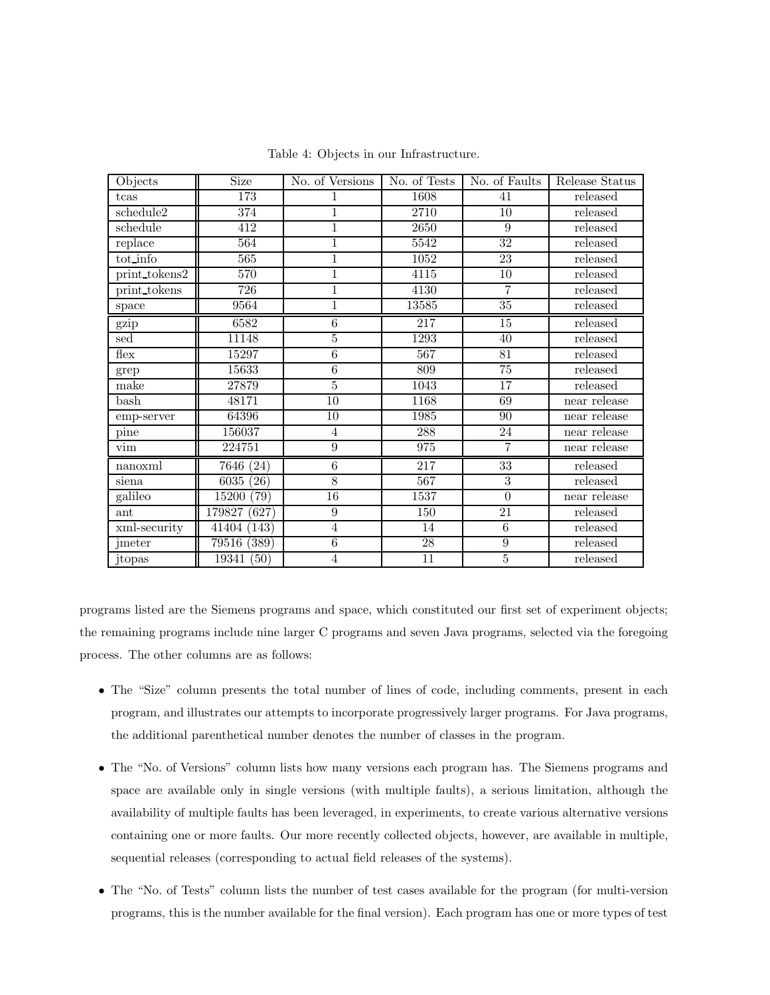| Objects       | Size            | No. of Versions | No. of Tests     | No. of Faults   | Release Status |
|---------------|-----------------|-----------------|------------------|-----------------|----------------|
| tcas          | 173             |                 | 1608             | 41              | released       |
| schedule2     | 374             |                 | 2710             | $10\,$          | released       |
| schedule      | 412             | $\mathbf{1}$    | 2650             | 9               | released       |
| replace       | 564             | $\mathbf{1}$    | 5542             | $\overline{32}$ | released       |
| tot_info      | 565             | $\mathbf{1}$    | 1052             | 23              | released       |
| print_tokens2 | 570             | $\mathbf{1}$    | 4115             | $\overline{10}$ | released       |
| print_tokens  | 726             | $\mathbf{1}$    | 4130             | $\overline{7}$  | released       |
| space         | 9564            | 1               | 13585            | $35\,$          | released       |
| gzip          | 6582            | $\overline{6}$  | 217              | 15              | released       |
| sed           | 11148           | $\overline{5}$  | 1293             | 40              | released       |
| flex          | 15297           | $\overline{6}$  | 567              | 81              | released       |
| grep          | 15633           | $\overline{6}$  | 809              | $\overline{75}$ | released       |
| make          | 27879           | $\overline{5}$  | 1043             | $\overline{17}$ | released       |
| bash          | 48171           | $\overline{10}$ | 1168             | 69              | near release   |
| emp-server    | 64396           | $\overline{10}$ | 1985             | 90              | near release   |
| pine          | 156037          | $\overline{4}$  | 288              | 24              | near release   |
| vim           | 224751          | 9               | 975              | $\overline{7}$  | near release   |
| nanoxml       | 7646 (24)       | $\,6$           | $\overline{217}$ | $33\,$          | released       |
| siena         | 6035<br>(26)    | $\overline{8}$  | 567              | $\overline{3}$  | released       |
| galileo       | (79)<br>15200   | $\overline{16}$ | 1537             | $\overline{0}$  | near release   |
| ant           | 179827<br>(627) | 9               | 150              | $\overline{21}$ | released       |
| xml-security  | 41404 (143)     | $\overline{4}$  | 14               | 6               | released       |
| jmeter        | 79516 (389)     | $\overline{6}$  | 28               | $\overline{9}$  | released       |
| jtopas        | 19341 (50)      | $\overline{4}$  | 11               | $\bf 5$         | released       |

Table 4: Objects in our Infrastructure.

programs listed are the Siemens programs and space, which constituted our first set of experiment objects; the remaining programs include nine larger C programs and seven Java programs, selected via the foregoing process. The other columns are as follows:

- The "Size" column presents the total number of lines of code, including comments, present in each program, and illustrates our attempts to incorporate progressively larger programs. For Java programs, the additional parenthetical number denotes the number of classes in the program.
- The "No. of Versions" column lists how many versions each program has. The Siemens programs and space are available only in single versions (with multiple faults), a serious limitation, although the availability of multiple faults has been leveraged, in experiments, to create various alternative versions containing one or more faults. Our more recently collected objects, however, are available in multiple, sequential releases (corresponding to actual field releases of the systems).
- The "No. of Tests" column lists the number of test cases available for the program (for multi-version programs, this is the number available for the final version). Each program has one or more types of test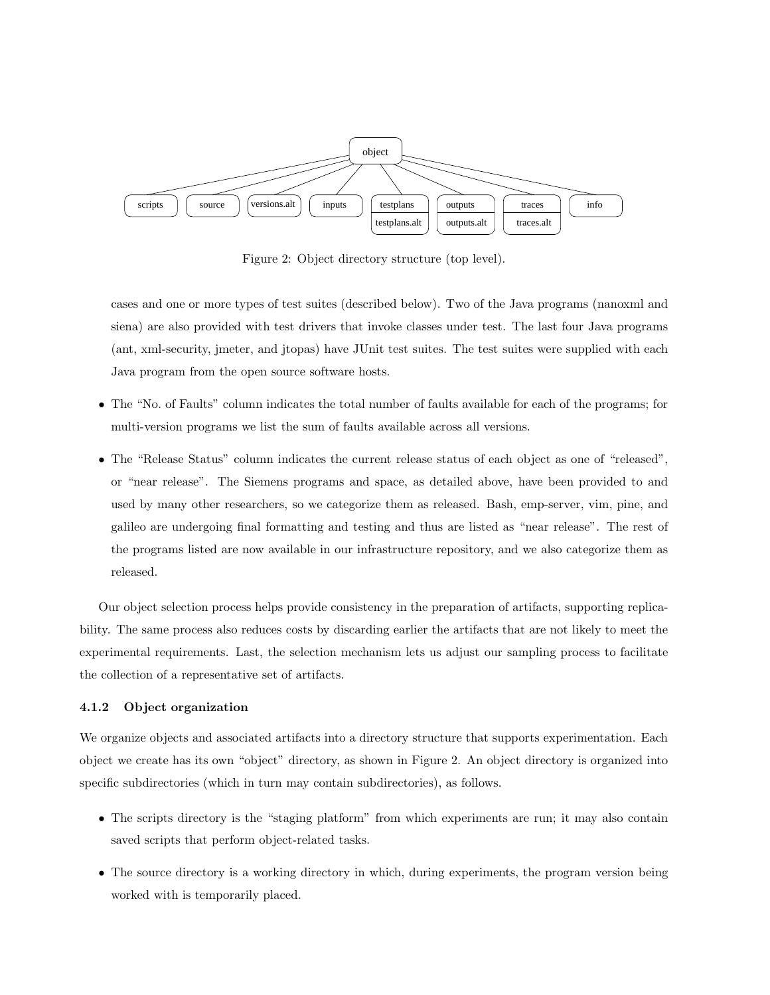

Figure 2: Object directory structure (top level).

cases and one or more types of test suites (described below). Two of the Java programs (nanoxml and siena) are also provided with test drivers that invoke classes under test. The last four Java programs (ant, xml-security, jmeter, and jtopas) have JUnit test suites. The test suites were supplied with each Java program from the open source software hosts.

- The "No. of Faults" column indicates the total number of faults available for each of the programs; for multi-version programs we list the sum of faults available across all versions.
- The "Release Status" column indicates the current release status of each object as one of "released", or "near release". The Siemens programs and space, as detailed above, have been provided to and used by many other researchers, so we categorize them as released. Bash, emp-server, vim, pine, and galileo are undergoing final formatting and testing and thus are listed as "near release". The rest of the programs listed are now available in our infrastructure repository, and we also categorize them as released.

Our object selection process helps provide consistency in the preparation of artifacts, supporting replicability. The same process also reduces costs by discarding earlier the artifacts that are not likely to meet the experimental requirements. Last, the selection mechanism lets us adjust our sampling process to facilitate the collection of a representative set of artifacts.

#### 4.1.2 Object organization

We organize objects and associated artifacts into a directory structure that supports experimentation. Each object we create has its own "object" directory, as shown in Figure 2. An object directory is organized into specific subdirectories (which in turn may contain subdirectories), as follows.

- The scripts directory is the "staging platform" from which experiments are run; it may also contain saved scripts that perform object-related tasks.
- The source directory is a working directory in which, during experiments, the program version being worked with is temporarily placed.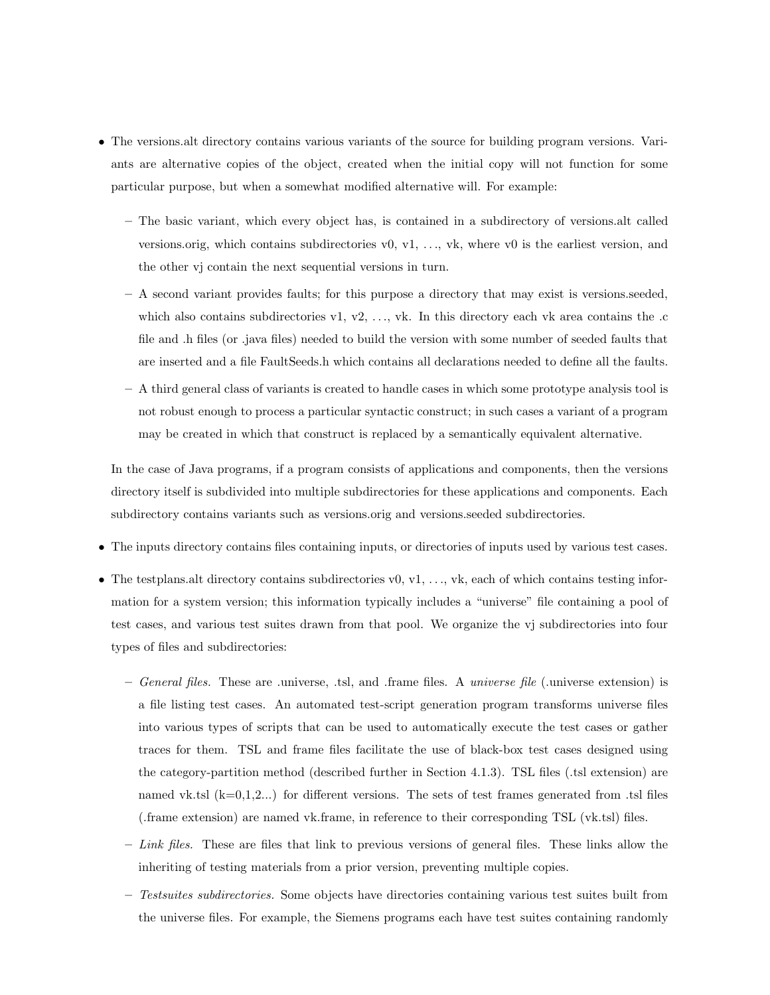- The versions.alt directory contains various variants of the source for building program versions. Variants are alternative copies of the object, created when the initial copy will not function for some particular purpose, but when a somewhat modified alternative will. For example:
	- The basic variant, which every object has, is contained in a subdirectory of versions.alt called versions.orig, which contains subdirectories v0, v1,  $\dots$ , vk, where v0 is the earliest version, and the other vj contain the next sequential versions in turn.
	- A second variant provides faults; for this purpose a directory that may exist is versions.seeded, which also contains subdirectories v1, v2, ..., vk. In this directory each vk area contains the .c file and .h files (or .java files) needed to build the version with some number of seeded faults that are inserted and a file FaultSeeds.h which contains all declarations needed to define all the faults.
	- A third general class of variants is created to handle cases in which some prototype analysis tool is not robust enough to process a particular syntactic construct; in such cases a variant of a program may be created in which that construct is replaced by a semantically equivalent alternative.

In the case of Java programs, if a program consists of applications and components, then the versions directory itself is subdivided into multiple subdirectories for these applications and components. Each subdirectory contains variants such as versions.orig and versions.seeded subdirectories.

- The inputs directory contains files containing inputs, or directories of inputs used by various test cases.
- The testplans alt directory contains subdirectories v0, v1,  $\dots$ , vk, each of which contains testing information for a system version; this information typically includes a "universe" file containing a pool of test cases, and various test suites drawn from that pool. We organize the vj subdirectories into four types of files and subdirectories:
	- General files. These are .universe, .tsl, and .frame files. A universe file (.universe extension) is a file listing test cases. An automated test-script generation program transforms universe files into various types of scripts that can be used to automatically execute the test cases or gather traces for them. TSL and frame files facilitate the use of black-box test cases designed using the category-partition method (described further in Section 4.1.3). TSL files (.tsl extension) are named vk.tsl  $(k=0,1,2...)$  for different versions. The sets of test frames generated from .tsl files (.frame extension) are named vk.frame, in reference to their corresponding TSL (vk.tsl) files.
	- $-$  Link files. These are files that link to previous versions of general files. These links allow the inheriting of testing materials from a prior version, preventing multiple copies.
	- Testsuites subdirectories. Some objects have directories containing various test suites built from the universe files. For example, the Siemens programs each have test suites containing randomly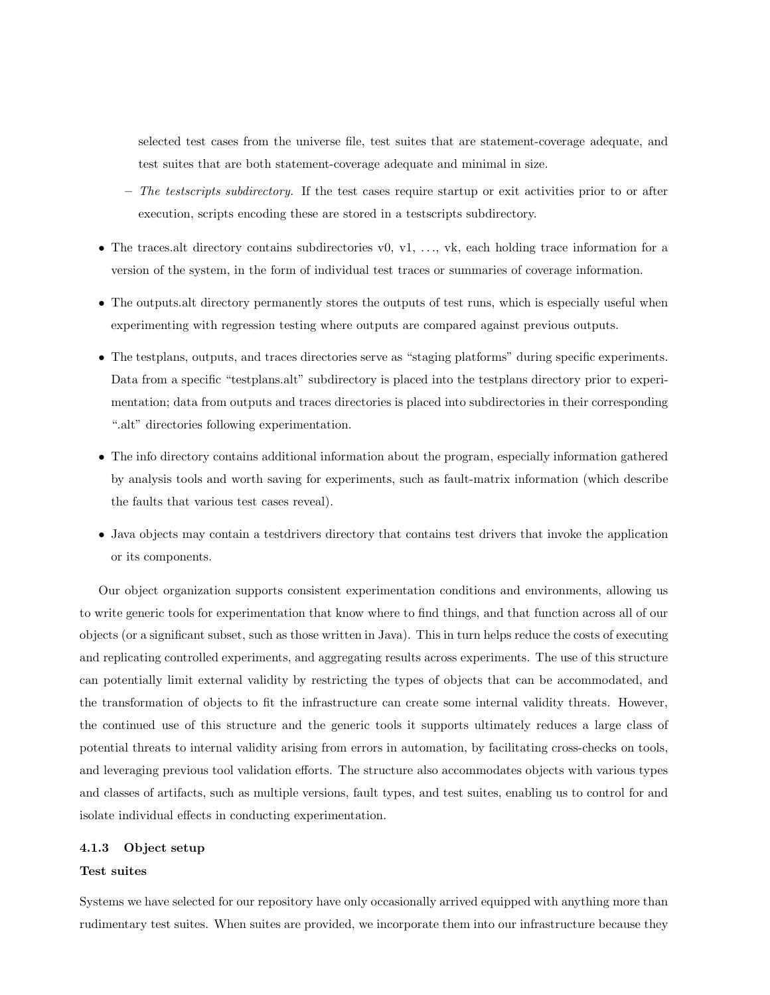selected test cases from the universe file, test suites that are statement-coverage adequate, and test suites that are both statement-coverage adequate and minimal in size.

- The testscripts subdirectory. If the test cases require startup or exit activities prior to or after execution, scripts encoding these are stored in a testscripts subdirectory.
- The traces.alt directory contains subdirectories v0, v1,  $\dots$ , vk, each holding trace information for a version of the system, in the form of individual test traces or summaries of coverage information.
- The outputs alt directory permanently stores the outputs of test runs, which is especially useful when experimenting with regression testing where outputs are compared against previous outputs.
- The testplans, outputs, and traces directories serve as "staging platforms" during specific experiments. Data from a specific "testplans.alt" subdirectory is placed into the testplans directory prior to experimentation; data from outputs and traces directories is placed into subdirectories in their corresponding ".alt" directories following experimentation.
- The info directory contains additional information about the program, especially information gathered by analysis tools and worth saving for experiments, such as fault-matrix information (which describe the faults that various test cases reveal).
- Java objects may contain a testdrivers directory that contains test drivers that invoke the application or its components.

Our object organization supports consistent experimentation conditions and environments, allowing us to write generic tools for experimentation that know where to find things, and that function across all of our objects (or a significant subset, such as those written in Java). This in turn helps reduce the costs of executing and replicating controlled experiments, and aggregating results across experiments. The use of this structure can potentially limit external validity by restricting the types of objects that can be accommodated, and the transformation of objects to fit the infrastructure can create some internal validity threats. However, the continued use of this structure and the generic tools it supports ultimately reduces a large class of potential threats to internal validity arising from errors in automation, by facilitating cross-checks on tools, and leveraging previous tool validation efforts. The structure also accommodates objects with various types and classes of artifacts, such as multiple versions, fault types, and test suites, enabling us to control for and isolate individual effects in conducting experimentation.

#### 4.1.3 Object setup

#### Test suites

Systems we have selected for our repository have only occasionally arrived equipped with anything more than rudimentary test suites. When suites are provided, we incorporate them into our infrastructure because they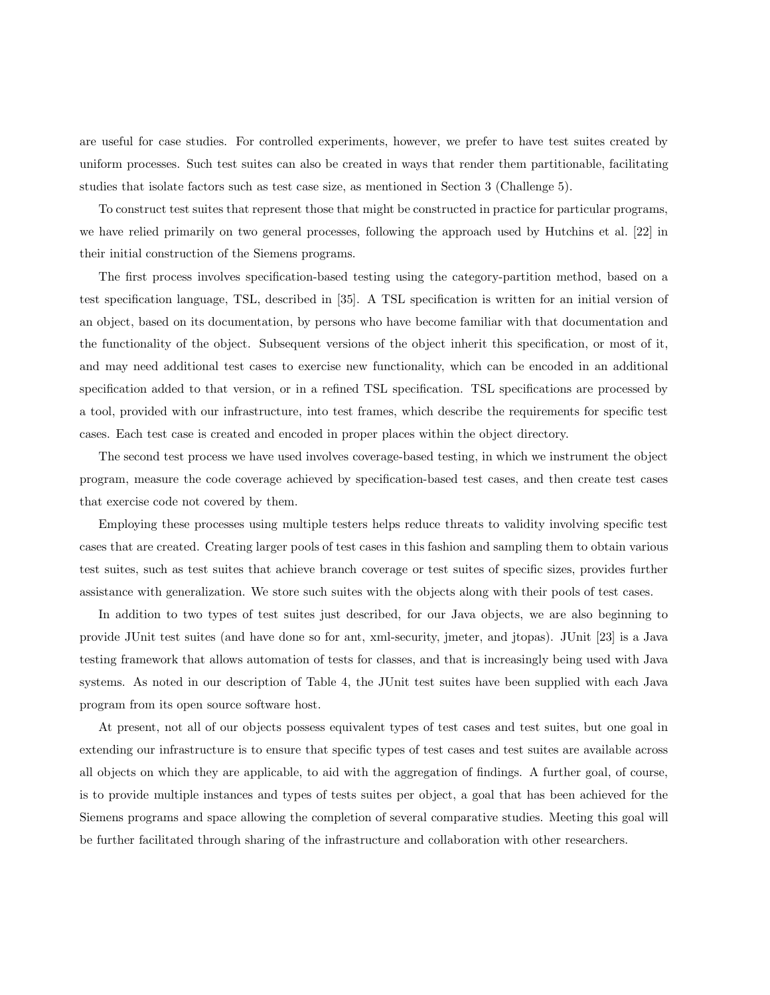are useful for case studies. For controlled experiments, however, we prefer to have test suites created by uniform processes. Such test suites can also be created in ways that render them partitionable, facilitating studies that isolate factors such as test case size, as mentioned in Section 3 (Challenge 5).

To construct test suites that represent those that might be constructed in practice for particular programs, we have relied primarily on two general processes, following the approach used by Hutchins et al. [22] in their initial construction of the Siemens programs.

The first process involves specification-based testing using the category-partition method, based on a test specification language, TSL, described in [35]. A TSL specification is written for an initial version of an object, based on its documentation, by persons who have become familiar with that documentation and the functionality of the object. Subsequent versions of the object inherit this specification, or most of it, and may need additional test cases to exercise new functionality, which can be encoded in an additional specification added to that version, or in a refined TSL specification. TSL specifications are processed by a tool, provided with our infrastructure, into test frames, which describe the requirements for specific test cases. Each test case is created and encoded in proper places within the object directory.

The second test process we have used involves coverage-based testing, in which we instrument the object program, measure the code coverage achieved by specification-based test cases, and then create test cases that exercise code not covered by them.

Employing these processes using multiple testers helps reduce threats to validity involving specific test cases that are created. Creating larger pools of test cases in this fashion and sampling them to obtain various test suites, such as test suites that achieve branch coverage or test suites of specific sizes, provides further assistance with generalization. We store such suites with the objects along with their pools of test cases.

In addition to two types of test suites just described, for our Java objects, we are also beginning to provide JUnit test suites (and have done so for ant, xml-security, jmeter, and jtopas). JUnit [23] is a Java testing framework that allows automation of tests for classes, and that is increasingly being used with Java systems. As noted in our description of Table 4, the JUnit test suites have been supplied with each Java program from its open source software host.

At present, not all of our objects possess equivalent types of test cases and test suites, but one goal in extending our infrastructure is to ensure that specific types of test cases and test suites are available across all objects on which they are applicable, to aid with the aggregation of findings. A further goal, of course, is to provide multiple instances and types of tests suites per object, a goal that has been achieved for the Siemens programs and space allowing the completion of several comparative studies. Meeting this goal will be further facilitated through sharing of the infrastructure and collaboration with other researchers.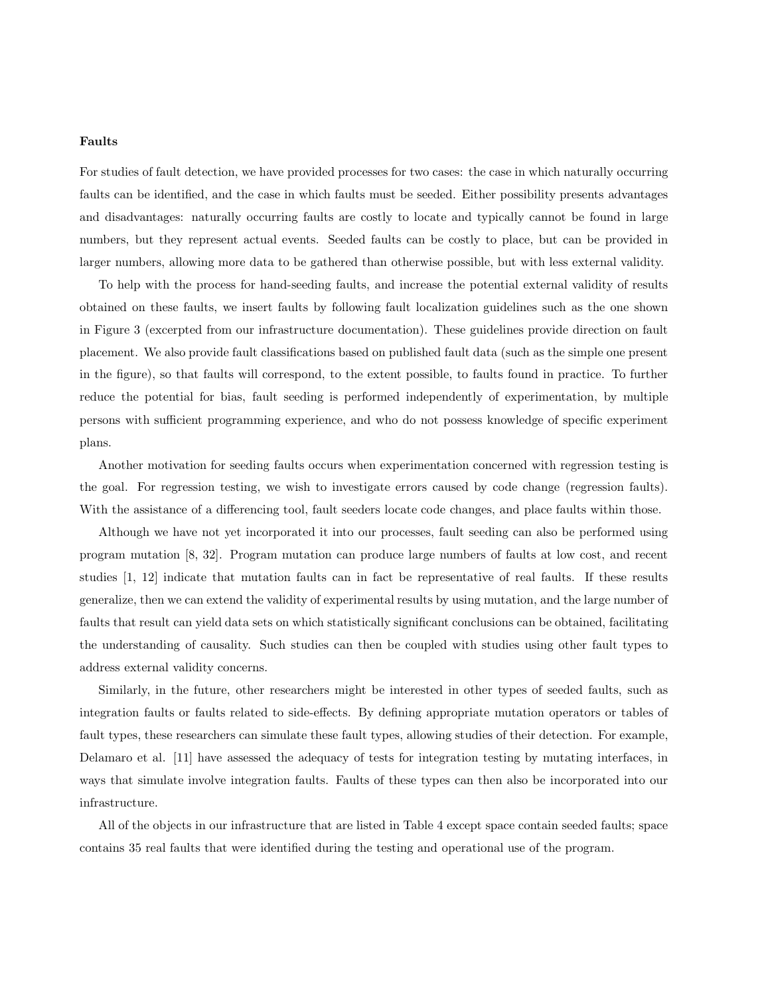#### Faults

For studies of fault detection, we have provided processes for two cases: the case in which naturally occurring faults can be identified, and the case in which faults must be seeded. Either possibility presents advantages and disadvantages: naturally occurring faults are costly to locate and typically cannot be found in large numbers, but they represent actual events. Seeded faults can be costly to place, but can be provided in larger numbers, allowing more data to be gathered than otherwise possible, but with less external validity.

To help with the process for hand-seeding faults, and increase the potential external validity of results obtained on these faults, we insert faults by following fault localization guidelines such as the one shown in Figure 3 (excerpted from our infrastructure documentation). These guidelines provide direction on fault placement. We also provide fault classifications based on published fault data (such as the simple one present in the figure), so that faults will correspond, to the extent possible, to faults found in practice. To further reduce the potential for bias, fault seeding is performed independently of experimentation, by multiple persons with sufficient programming experience, and who do not possess knowledge of specific experiment plans.

Another motivation for seeding faults occurs when experimentation concerned with regression testing is the goal. For regression testing, we wish to investigate errors caused by code change (regression faults). With the assistance of a differencing tool, fault seeders locate code changes, and place faults within those.

Although we have not yet incorporated it into our processes, fault seeding can also be performed using program mutation [8, 32]. Program mutation can produce large numbers of faults at low cost, and recent studies [1, 12] indicate that mutation faults can in fact be representative of real faults. If these results generalize, then we can extend the validity of experimental results by using mutation, and the large number of faults that result can yield data sets on which statistically significant conclusions can be obtained, facilitating the understanding of causality. Such studies can then be coupled with studies using other fault types to address external validity concerns.

Similarly, in the future, other researchers might be interested in other types of seeded faults, such as integration faults or faults related to side-effects. By defining appropriate mutation operators or tables of fault types, these researchers can simulate these fault types, allowing studies of their detection. For example, Delamaro et al. [11] have assessed the adequacy of tests for integration testing by mutating interfaces, in ways that simulate involve integration faults. Faults of these types can then also be incorporated into our infrastructure.

All of the objects in our infrastructure that are listed in Table 4 except space contain seeded faults; space contains 35 real faults that were identified during the testing and operational use of the program.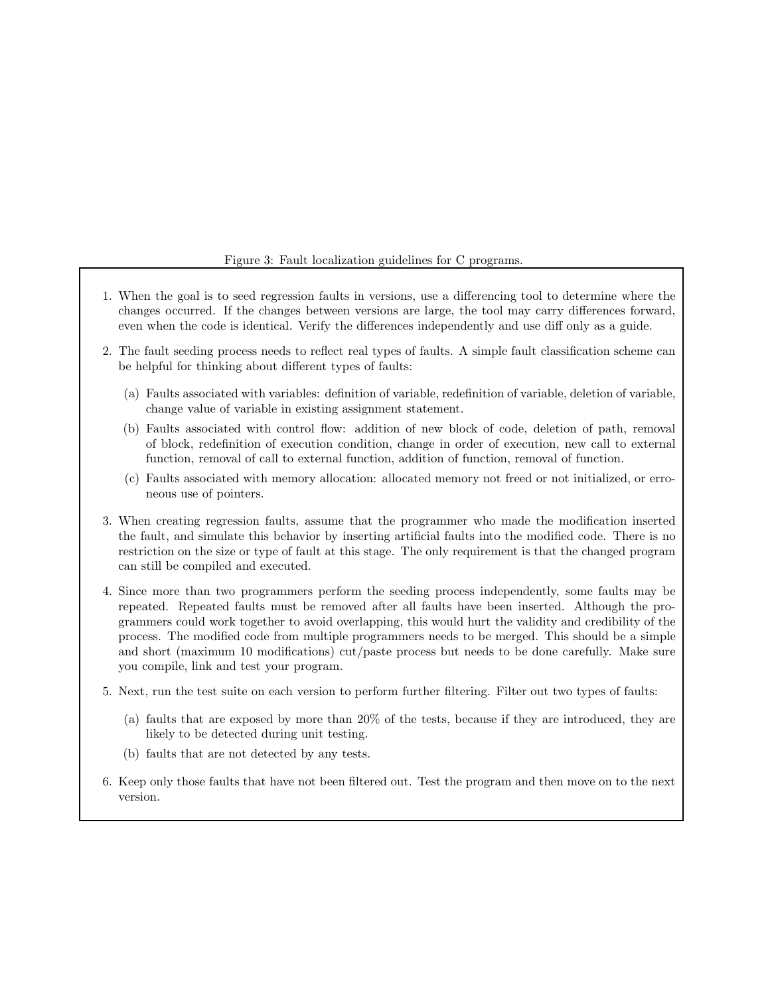### Figure 3: Fault localization guidelines for C programs.

- 1. When the goal is to seed regression faults in versions, use a differencing tool to determine where the changes occurred. If the changes between versions are large, the tool may carry differences forward, even when the code is identical. Verify the differences independently and use diff only as a guide.
- 2. The fault seeding process needs to reflect real types of faults. A simple fault classification scheme can be helpful for thinking about different types of faults:
	- (a) Faults associated with variables: definition of variable, redefinition of variable, deletion of variable, change value of variable in existing assignment statement.
	- (b) Faults associated with control flow: addition of new block of code, deletion of path, removal of block, redefinition of execution condition, change in order of execution, new call to external function, removal of call to external function, addition of function, removal of function.
	- (c) Faults associated with memory allocation: allocated memory not freed or not initialized, or erroneous use of pointers.
- 3. When creating regression faults, assume that the programmer who made the modification inserted the fault, and simulate this behavior by inserting artificial faults into the modified code. There is no restriction on the size or type of fault at this stage. The only requirement is that the changed program can still be compiled and executed.
- 4. Since more than two programmers perform the seeding process independently, some faults may be repeated. Repeated faults must be removed after all faults have been inserted. Although the programmers could work together to avoid overlapping, this would hurt the validity and credibility of the process. The modified code from multiple programmers needs to be merged. This should be a simple and short (maximum 10 modifications) cut/paste process but needs to be done carefully. Make sure you compile, link and test your program.
- 5. Next, run the test suite on each version to perform further filtering. Filter out two types of faults:
	- (a) faults that are exposed by more than 20% of the tests, because if they are introduced, they are likely to be detected during unit testing.
	- (b) faults that are not detected by any tests.
- 6. Keep only those faults that have not been filtered out. Test the program and then move on to the next version.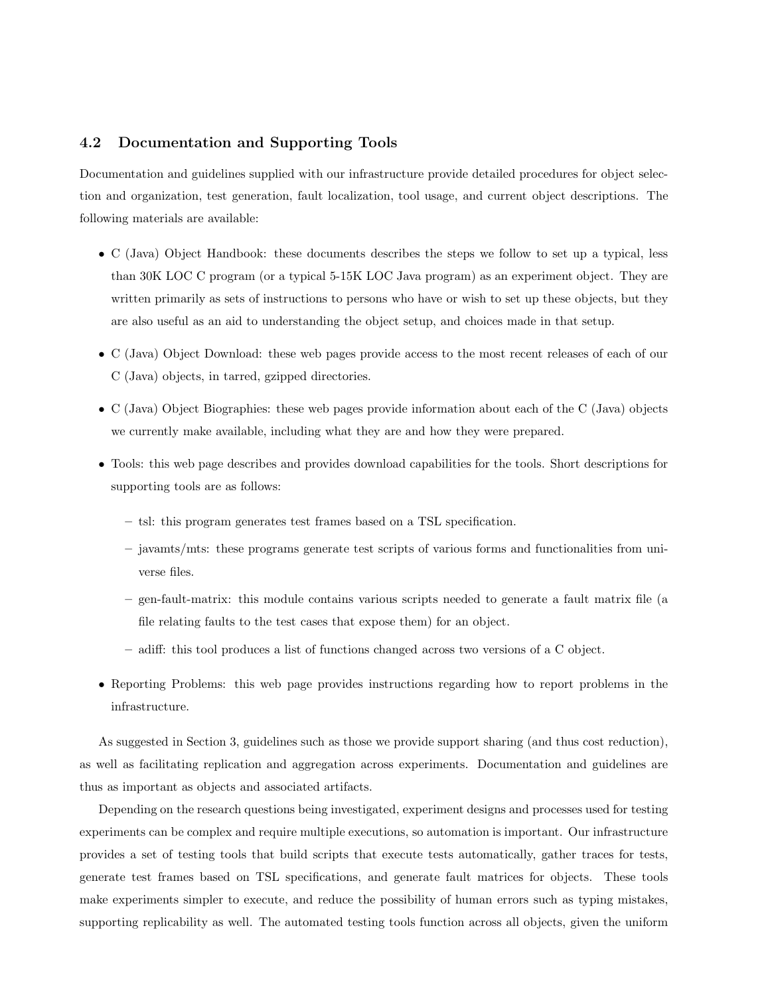## 4.2 Documentation and Supporting Tools

Documentation and guidelines supplied with our infrastructure provide detailed procedures for object selection and organization, test generation, fault localization, tool usage, and current object descriptions. The following materials are available:

- C (Java) Object Handbook: these documents describes the steps we follow to set up a typical, less than 30K LOC C program (or a typical 5-15K LOC Java program) as an experiment object. They are written primarily as sets of instructions to persons who have or wish to set up these objects, but they are also useful as an aid to understanding the object setup, and choices made in that setup.
- C (Java) Object Download: these web pages provide access to the most recent releases of each of our C (Java) objects, in tarred, gzipped directories.
- C (Java) Object Biographies: these web pages provide information about each of the C (Java) objects we currently make available, including what they are and how they were prepared.
- Tools: this web page describes and provides download capabilities for the tools. Short descriptions for supporting tools are as follows:
	- tsl: this program generates test frames based on a TSL specification.
	- javamts/mts: these programs generate test scripts of various forms and functionalities from universe files.
	- gen-fault-matrix: this module contains various scripts needed to generate a fault matrix file (a file relating faults to the test cases that expose them) for an object.
	- adiff: this tool produces a list of functions changed across two versions of a C object.
- Reporting Problems: this web page provides instructions regarding how to report problems in the infrastructure.

As suggested in Section 3, guidelines such as those we provide support sharing (and thus cost reduction), as well as facilitating replication and aggregation across experiments. Documentation and guidelines are thus as important as objects and associated artifacts.

Depending on the research questions being investigated, experiment designs and processes used for testing experiments can be complex and require multiple executions, so automation is important. Our infrastructure provides a set of testing tools that build scripts that execute tests automatically, gather traces for tests, generate test frames based on TSL specifications, and generate fault matrices for objects. These tools make experiments simpler to execute, and reduce the possibility of human errors such as typing mistakes, supporting replicability as well. The automated testing tools function across all objects, given the uniform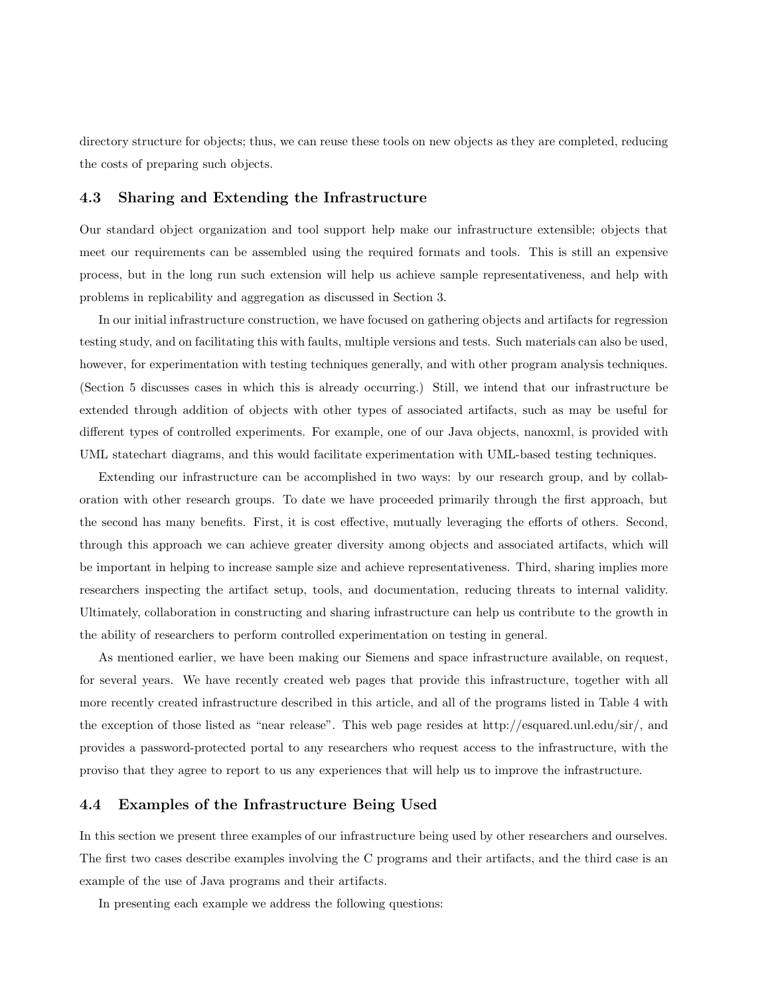directory structure for objects; thus, we can reuse these tools on new objects as they are completed, reducing the costs of preparing such objects.

### 4.3 Sharing and Extending the Infrastructure

Our standard object organization and tool support help make our infrastructure extensible; objects that meet our requirements can be assembled using the required formats and tools. This is still an expensive process, but in the long run such extension will help us achieve sample representativeness, and help with problems in replicability and aggregation as discussed in Section 3.

In our initial infrastructure construction, we have focused on gathering objects and artifacts for regression testing study, and on facilitating this with faults, multiple versions and tests. Such materials can also be used, however, for experimentation with testing techniques generally, and with other program analysis techniques. (Section 5 discusses cases in which this is already occurring.) Still, we intend that our infrastructure be extended through addition of objects with other types of associated artifacts, such as may be useful for different types of controlled experiments. For example, one of our Java objects, nanoxml, is provided with UML statechart diagrams, and this would facilitate experimentation with UML-based testing techniques.

Extending our infrastructure can be accomplished in two ways: by our research group, and by collaboration with other research groups. To date we have proceeded primarily through the first approach, but the second has many benefits. First, it is cost effective, mutually leveraging the efforts of others. Second, through this approach we can achieve greater diversity among objects and associated artifacts, which will be important in helping to increase sample size and achieve representativeness. Third, sharing implies more researchers inspecting the artifact setup, tools, and documentation, reducing threats to internal validity. Ultimately, collaboration in constructing and sharing infrastructure can help us contribute to the growth in the ability of researchers to perform controlled experimentation on testing in general.

As mentioned earlier, we have been making our Siemens and space infrastructure available, on request, for several years. We have recently created web pages that provide this infrastructure, together with all more recently created infrastructure described in this article, and all of the programs listed in Table 4 with the exception of those listed as "near release". This web page resides at http://esquared.unl.edu/sir/, and provides a password-protected portal to any researchers who request access to the infrastructure, with the proviso that they agree to report to us any experiences that will help us to improve the infrastructure.

## 4.4 Examples of the Infrastructure Being Used

In this section we present three examples of our infrastructure being used by other researchers and ourselves. The first two cases describe examples involving the C programs and their artifacts, and the third case is an example of the use of Java programs and their artifacts.

In presenting each example we address the following questions: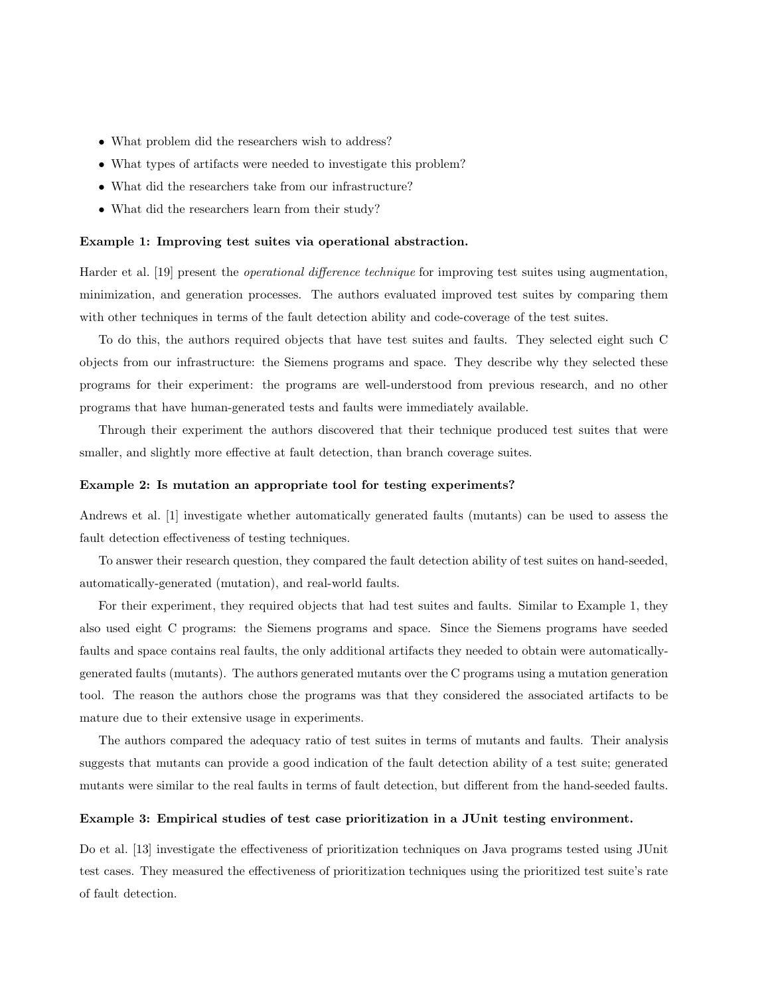- What problem did the researchers wish to address?
- What types of artifacts were needed to investigate this problem?
- What did the researchers take from our infrastructure?
- What did the researchers learn from their study?

#### Example 1: Improving test suites via operational abstraction.

Harder et al. [19] present the operational difference technique for improving test suites using augmentation, minimization, and generation processes. The authors evaluated improved test suites by comparing them with other techniques in terms of the fault detection ability and code-coverage of the test suites.

To do this, the authors required objects that have test suites and faults. They selected eight such C objects from our infrastructure: the Siemens programs and space. They describe why they selected these programs for their experiment: the programs are well-understood from previous research, and no other programs that have human-generated tests and faults were immediately available.

Through their experiment the authors discovered that their technique produced test suites that were smaller, and slightly more effective at fault detection, than branch coverage suites.

#### Example 2: Is mutation an appropriate tool for testing experiments?

Andrews et al. [1] investigate whether automatically generated faults (mutants) can be used to assess the fault detection effectiveness of testing techniques.

To answer their research question, they compared the fault detection ability of test suites on hand-seeded, automatically-generated (mutation), and real-world faults.

For their experiment, they required objects that had test suites and faults. Similar to Example 1, they also used eight C programs: the Siemens programs and space. Since the Siemens programs have seeded faults and space contains real faults, the only additional artifacts they needed to obtain were automaticallygenerated faults (mutants). The authors generated mutants over the C programs using a mutation generation tool. The reason the authors chose the programs was that they considered the associated artifacts to be mature due to their extensive usage in experiments.

The authors compared the adequacy ratio of test suites in terms of mutants and faults. Their analysis suggests that mutants can provide a good indication of the fault detection ability of a test suite; generated mutants were similar to the real faults in terms of fault detection, but different from the hand-seeded faults.

#### Example 3: Empirical studies of test case prioritization in a JUnit testing environment.

Do et al. [13] investigate the effectiveness of prioritization techniques on Java programs tested using JUnit test cases. They measured the effectiveness of prioritization techniques using the prioritized test suite's rate of fault detection.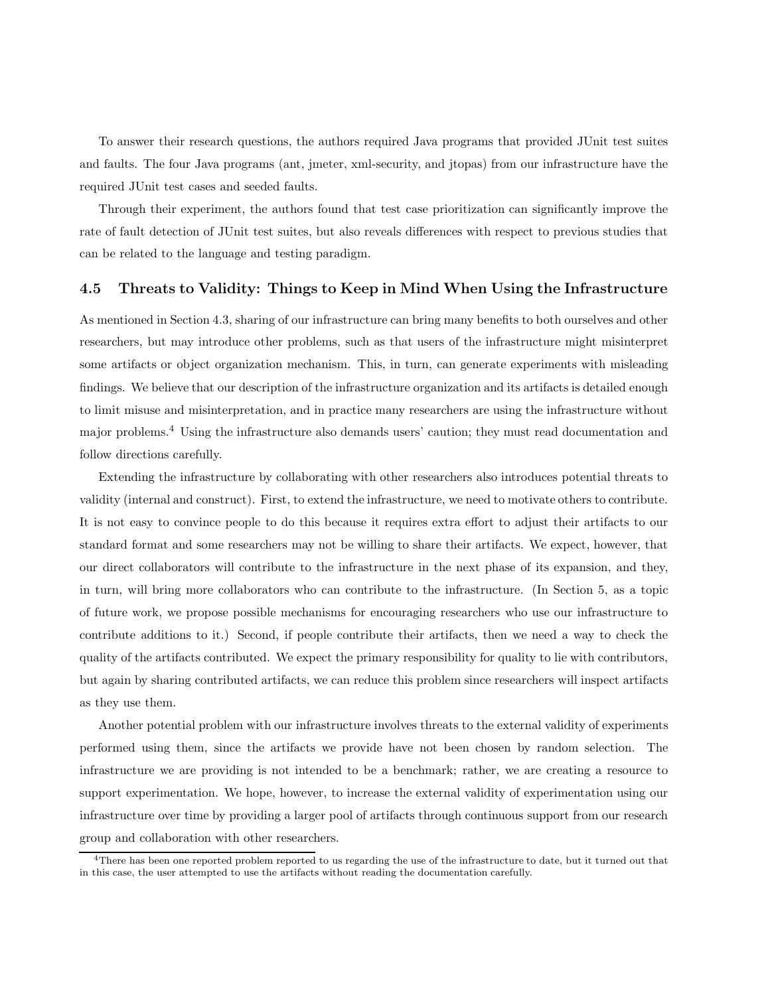To answer their research questions, the authors required Java programs that provided JUnit test suites and faults. The four Java programs (ant, jmeter, xml-security, and jtopas) from our infrastructure have the required JUnit test cases and seeded faults.

Through their experiment, the authors found that test case prioritization can significantly improve the rate of fault detection of JUnit test suites, but also reveals differences with respect to previous studies that can be related to the language and testing paradigm.

### 4.5 Threats to Validity: Things to Keep in Mind When Using the Infrastructure

As mentioned in Section 4.3, sharing of our infrastructure can bring many benefits to both ourselves and other researchers, but may introduce other problems, such as that users of the infrastructure might misinterpret some artifacts or object organization mechanism. This, in turn, can generate experiments with misleading findings. We believe that our description of the infrastructure organization and its artifacts is detailed enough to limit misuse and misinterpretation, and in practice many researchers are using the infrastructure without major problems.<sup>4</sup> Using the infrastructure also demands users' caution; they must read documentation and follow directions carefully.

Extending the infrastructure by collaborating with other researchers also introduces potential threats to validity (internal and construct). First, to extend the infrastructure, we need to motivate others to contribute. It is not easy to convince people to do this because it requires extra effort to adjust their artifacts to our standard format and some researchers may not be willing to share their artifacts. We expect, however, that our direct collaborators will contribute to the infrastructure in the next phase of its expansion, and they, in turn, will bring more collaborators who can contribute to the infrastructure. (In Section 5, as a topic of future work, we propose possible mechanisms for encouraging researchers who use our infrastructure to contribute additions to it.) Second, if people contribute their artifacts, then we need a way to check the quality of the artifacts contributed. We expect the primary responsibility for quality to lie with contributors, but again by sharing contributed artifacts, we can reduce this problem since researchers will inspect artifacts as they use them.

Another potential problem with our infrastructure involves threats to the external validity of experiments performed using them, since the artifacts we provide have not been chosen by random selection. The infrastructure we are providing is not intended to be a benchmark; rather, we are creating a resource to support experimentation. We hope, however, to increase the external validity of experimentation using our infrastructure over time by providing a larger pool of artifacts through continuous support from our research group and collaboration with other researchers.

 $4$ There has been one reported problem reported to us regarding the use of the infrastructure to date, but it turned out that in this case, the user attempted to use the artifacts without reading the documentation carefully.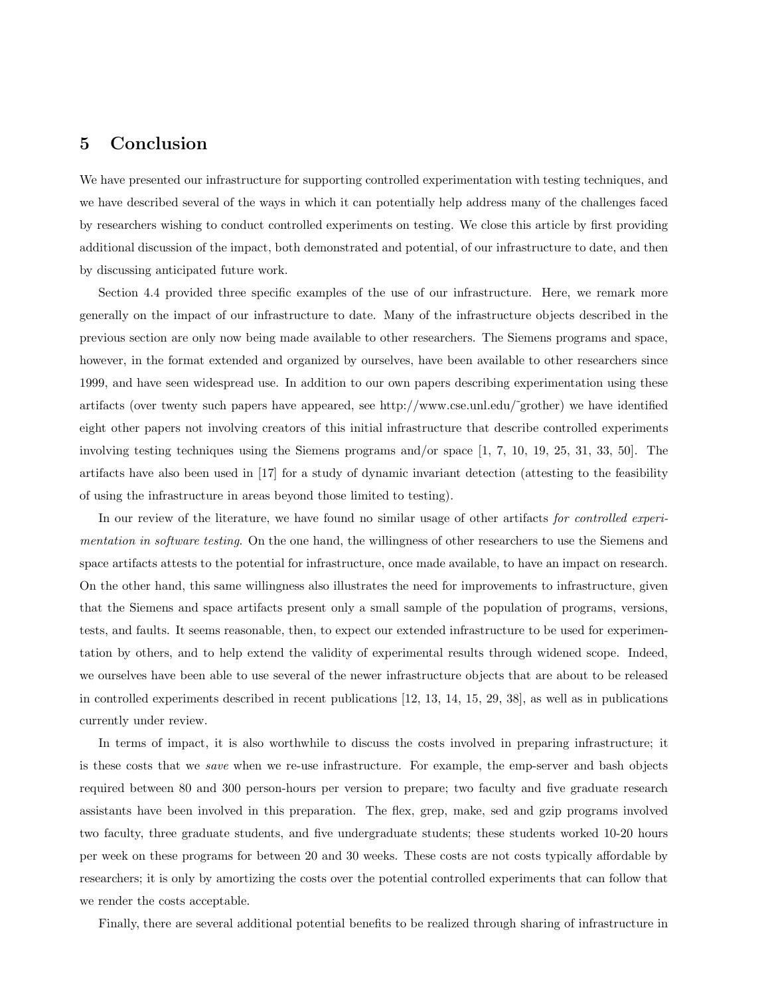# 5 Conclusion

We have presented our infrastructure for supporting controlled experimentation with testing techniques, and we have described several of the ways in which it can potentially help address many of the challenges faced by researchers wishing to conduct controlled experiments on testing. We close this article by first providing additional discussion of the impact, both demonstrated and potential, of our infrastructure to date, and then by discussing anticipated future work.

Section 4.4 provided three specific examples of the use of our infrastructure. Here, we remark more generally on the impact of our infrastructure to date. Many of the infrastructure objects described in the previous section are only now being made available to other researchers. The Siemens programs and space, however, in the format extended and organized by ourselves, have been available to other researchers since 1999, and have seen widespread use. In addition to our own papers describing experimentation using these artifacts (over twenty such papers have appeared, see http://www.cse.unl.edu/˜grother) we have identified eight other papers not involving creators of this initial infrastructure that describe controlled experiments involving testing techniques using the Siemens programs and/or space [1, 7, 10, 19, 25, 31, 33, 50]. The artifacts have also been used in [17] for a study of dynamic invariant detection (attesting to the feasibility of using the infrastructure in areas beyond those limited to testing).

In our review of the literature, we have found no similar usage of other artifacts for controlled experimentation in software testing. On the one hand, the willingness of other researchers to use the Siemens and space artifacts attests to the potential for infrastructure, once made available, to have an impact on research. On the other hand, this same willingness also illustrates the need for improvements to infrastructure, given that the Siemens and space artifacts present only a small sample of the population of programs, versions, tests, and faults. It seems reasonable, then, to expect our extended infrastructure to be used for experimentation by others, and to help extend the validity of experimental results through widened scope. Indeed, we ourselves have been able to use several of the newer infrastructure objects that are about to be released in controlled experiments described in recent publications [12, 13, 14, 15, 29, 38], as well as in publications currently under review.

In terms of impact, it is also worthwhile to discuss the costs involved in preparing infrastructure; it is these costs that we *save* when we re-use infrastructure. For example, the emp-server and bash objects required between 80 and 300 person-hours per version to prepare; two faculty and five graduate research assistants have been involved in this preparation. The flex, grep, make, sed and gzip programs involved two faculty, three graduate students, and five undergraduate students; these students worked 10-20 hours per week on these programs for between 20 and 30 weeks. These costs are not costs typically affordable by researchers; it is only by amortizing the costs over the potential controlled experiments that can follow that we render the costs acceptable.

Finally, there are several additional potential benefits to be realized through sharing of infrastructure in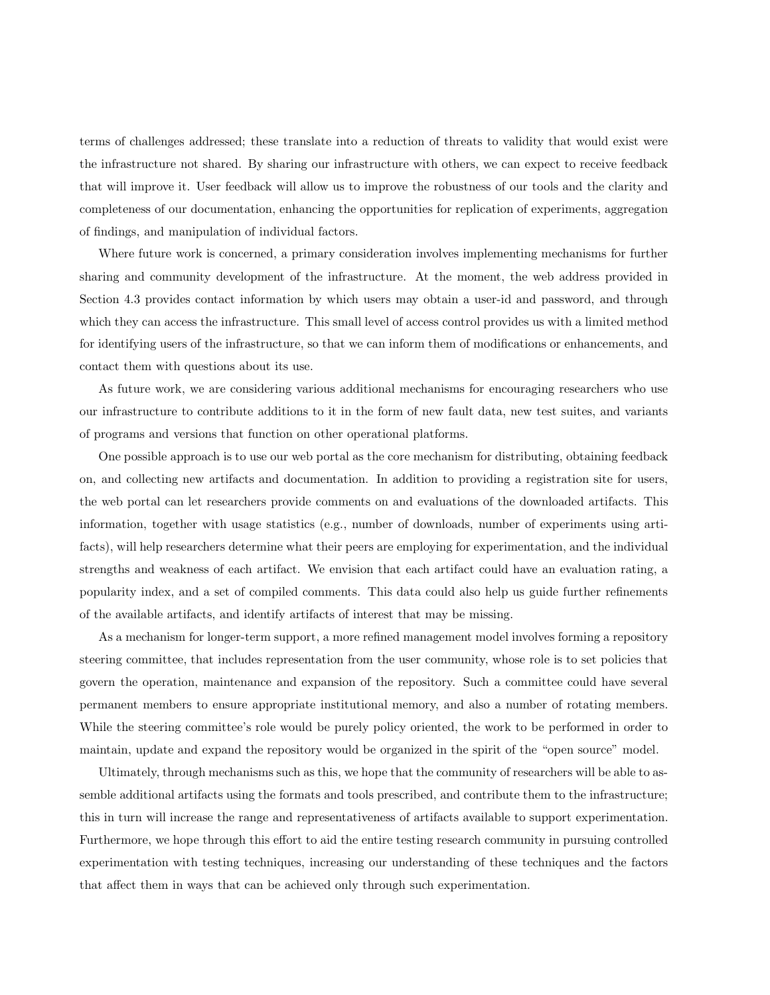terms of challenges addressed; these translate into a reduction of threats to validity that would exist were the infrastructure not shared. By sharing our infrastructure with others, we can expect to receive feedback that will improve it. User feedback will allow us to improve the robustness of our tools and the clarity and completeness of our documentation, enhancing the opportunities for replication of experiments, aggregation of findings, and manipulation of individual factors.

Where future work is concerned, a primary consideration involves implementing mechanisms for further sharing and community development of the infrastructure. At the moment, the web address provided in Section 4.3 provides contact information by which users may obtain a user-id and password, and through which they can access the infrastructure. This small level of access control provides us with a limited method for identifying users of the infrastructure, so that we can inform them of modifications or enhancements, and contact them with questions about its use.

As future work, we are considering various additional mechanisms for encouraging researchers who use our infrastructure to contribute additions to it in the form of new fault data, new test suites, and variants of programs and versions that function on other operational platforms.

One possible approach is to use our web portal as the core mechanism for distributing, obtaining feedback on, and collecting new artifacts and documentation. In addition to providing a registration site for users, the web portal can let researchers provide comments on and evaluations of the downloaded artifacts. This information, together with usage statistics (e.g., number of downloads, number of experiments using artifacts), will help researchers determine what their peers are employing for experimentation, and the individual strengths and weakness of each artifact. We envision that each artifact could have an evaluation rating, a popularity index, and a set of compiled comments. This data could also help us guide further refinements of the available artifacts, and identify artifacts of interest that may be missing.

As a mechanism for longer-term support, a more refined management model involves forming a repository steering committee, that includes representation from the user community, whose role is to set policies that govern the operation, maintenance and expansion of the repository. Such a committee could have several permanent members to ensure appropriate institutional memory, and also a number of rotating members. While the steering committee's role would be purely policy oriented, the work to be performed in order to maintain, update and expand the repository would be organized in the spirit of the "open source" model.

Ultimately, through mechanisms such as this, we hope that the community of researchers will be able to assemble additional artifacts using the formats and tools prescribed, and contribute them to the infrastructure; this in turn will increase the range and representativeness of artifacts available to support experimentation. Furthermore, we hope through this effort to aid the entire testing research community in pursuing controlled experimentation with testing techniques, increasing our understanding of these techniques and the factors that affect them in ways that can be achieved only through such experimentation.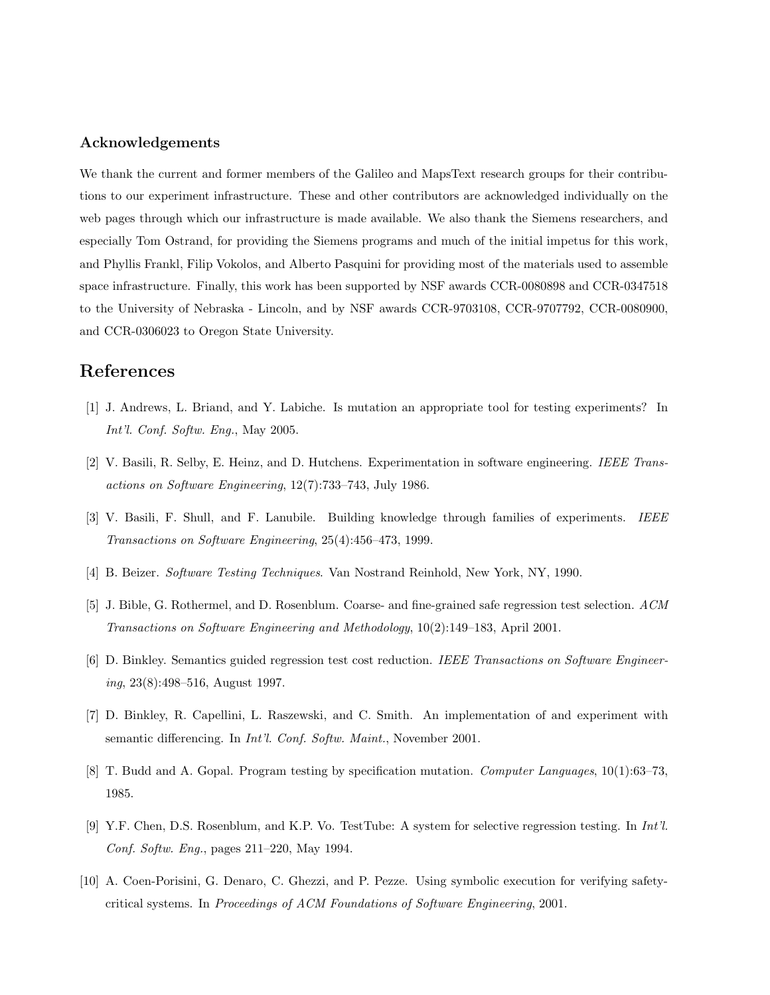### Acknowledgements

We thank the current and former members of the Galileo and MapsText research groups for their contributions to our experiment infrastructure. These and other contributors are acknowledged individually on the web pages through which our infrastructure is made available. We also thank the Siemens researchers, and especially Tom Ostrand, for providing the Siemens programs and much of the initial impetus for this work, and Phyllis Frankl, Filip Vokolos, and Alberto Pasquini for providing most of the materials used to assemble space infrastructure. Finally, this work has been supported by NSF awards CCR-0080898 and CCR-0347518 to the University of Nebraska - Lincoln, and by NSF awards CCR-9703108, CCR-9707792, CCR-0080900, and CCR-0306023 to Oregon State University.

# References

- [1] J. Andrews, L. Briand, and Y. Labiche. Is mutation an appropriate tool for testing experiments? In Int'l. Conf. Softw. Eng., May 2005.
- [2] V. Basili, R. Selby, E. Heinz, and D. Hutchens. Experimentation in software engineering. IEEE Transactions on Software Engineering, 12(7):733–743, July 1986.
- [3] V. Basili, F. Shull, and F. Lanubile. Building knowledge through families of experiments. IEEE Transactions on Software Engineering, 25(4):456–473, 1999.
- [4] B. Beizer. Software Testing Techniques. Van Nostrand Reinhold, New York, NY, 1990.
- [5] J. Bible, G. Rothermel, and D. Rosenblum. Coarse- and fine-grained safe regression test selection. ACM Transactions on Software Engineering and Methodology, 10(2):149–183, April 2001.
- [6] D. Binkley. Semantics guided regression test cost reduction. IEEE Transactions on Software Engineering, 23(8):498–516, August 1997.
- [7] D. Binkley, R. Capellini, L. Raszewski, and C. Smith. An implementation of and experiment with semantic differencing. In *Int'l. Conf. Softw. Maint.*, November 2001.
- [8] T. Budd and A. Gopal. Program testing by specification mutation. Computer Languages, 10(1):63–73, 1985.
- [9] Y.F. Chen, D.S. Rosenblum, and K.P. Vo. TestTube: A system for selective regression testing. In Int'l. Conf. Softw. Eng., pages 211–220, May 1994.
- [10] A. Coen-Porisini, G. Denaro, C. Ghezzi, and P. Pezze. Using symbolic execution for verifying safetycritical systems. In Proceedings of ACM Foundations of Software Engineering, 2001.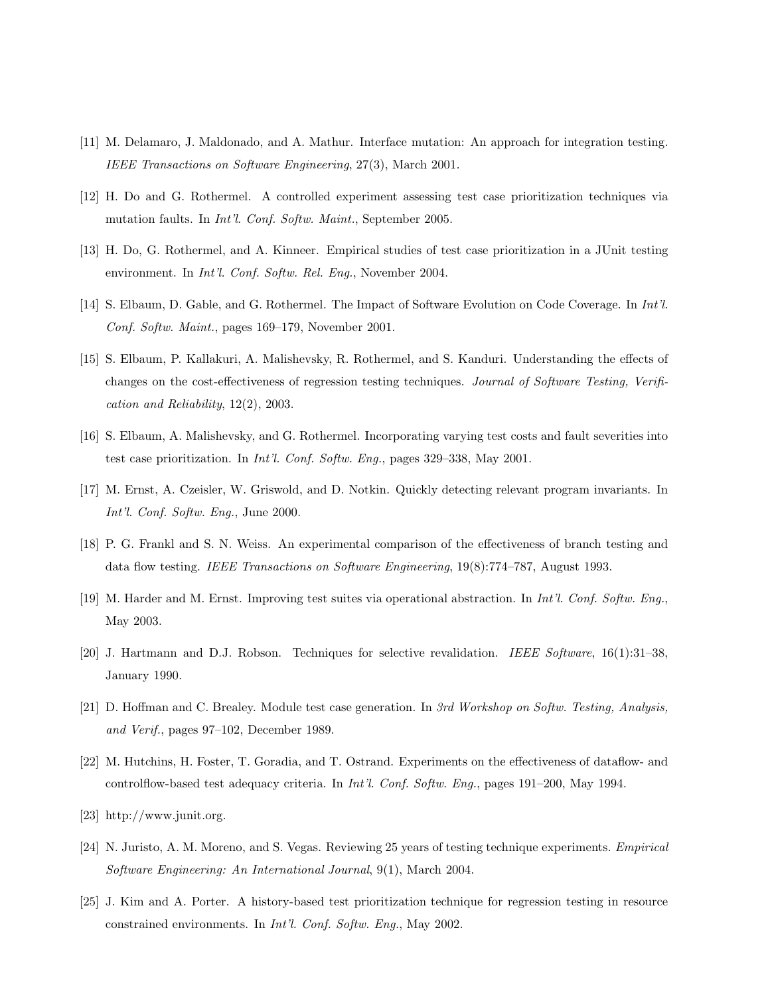- [11] M. Delamaro, J. Maldonado, and A. Mathur. Interface mutation: An approach for integration testing. IEEE Transactions on Software Engineering, 27(3), March 2001.
- [12] H. Do and G. Rothermel. A controlled experiment assessing test case prioritization techniques via mutation faults. In Int'l. Conf. Softw. Maint., September 2005.
- [13] H. Do, G. Rothermel, and A. Kinneer. Empirical studies of test case prioritization in a JUnit testing environment. In Int'l. Conf. Softw. Rel. Eng., November 2004.
- [14] S. Elbaum, D. Gable, and G. Rothermel. The Impact of Software Evolution on Code Coverage. In Int'l. Conf. Softw. Maint., pages 169–179, November 2001.
- [15] S. Elbaum, P. Kallakuri, A. Malishevsky, R. Rothermel, and S. Kanduri. Understanding the effects of changes on the cost-effectiveness of regression testing techniques. Journal of Software Testing, Verification and Reliability, 12(2), 2003.
- [16] S. Elbaum, A. Malishevsky, and G. Rothermel. Incorporating varying test costs and fault severities into test case prioritization. In Int'l. Conf. Softw. Eng., pages 329–338, May 2001.
- [17] M. Ernst, A. Czeisler, W. Griswold, and D. Notkin. Quickly detecting relevant program invariants. In Int'l. Conf. Softw. Eng., June 2000.
- [18] P. G. Frankl and S. N. Weiss. An experimental comparison of the effectiveness of branch testing and data flow testing. IEEE Transactions on Software Engineering, 19(8):774–787, August 1993.
- [19] M. Harder and M. Ernst. Improving test suites via operational abstraction. In Int'l. Conf. Softw. Eng., May 2003.
- [20] J. Hartmann and D.J. Robson. Techniques for selective revalidation. IEEE Software, 16(1):31–38, January 1990.
- [21] D. Hoffman and C. Brealey. Module test case generation. In 3rd Workshop on Softw. Testing, Analysis, and Verif., pages 97–102, December 1989.
- [22] M. Hutchins, H. Foster, T. Goradia, and T. Ostrand. Experiments on the effectiveness of dataflow- and controlflow-based test adequacy criteria. In *Int'l. Conf. Softw. Eng.*, pages 191–200, May 1994.
- [23] http://www.junit.org.
- [24] N. Juristo, A. M. Moreno, and S. Vegas. Reviewing 25 years of testing technique experiments. Empirical Software Engineering: An International Journal, 9(1), March 2004.
- [25] J. Kim and A. Porter. A history-based test prioritization technique for regression testing in resource constrained environments. In Int'l. Conf. Softw. Eng., May 2002.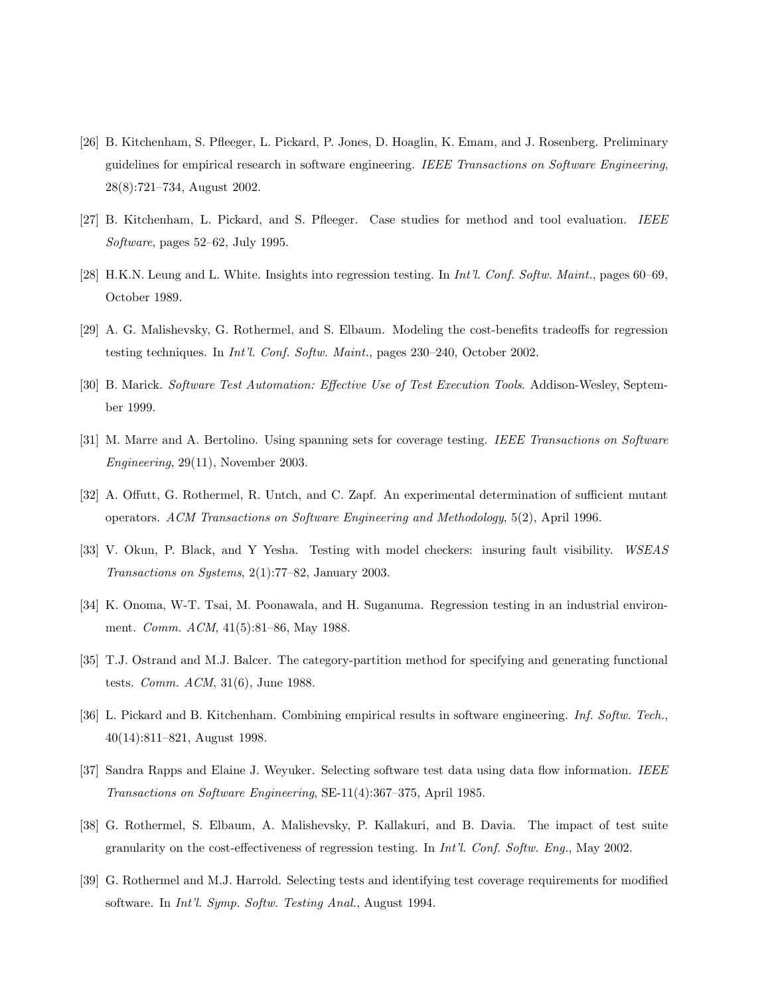- [26] B. Kitchenham, S. Pfleeger, L. Pickard, P. Jones, D. Hoaglin, K. Emam, and J. Rosenberg. Preliminary guidelines for empirical research in software engineering. IEEE Transactions on Software Engineering, 28(8):721–734, August 2002.
- [27] B. Kitchenham, L. Pickard, and S. Pfleeger. Case studies for method and tool evaluation. IEEE Software, pages 52–62, July 1995.
- [28] H.K.N. Leung and L. White. Insights into regression testing. In Int'l. Conf. Softw. Maint., pages 60–69, October 1989.
- [29] A. G. Malishevsky, G. Rothermel, and S. Elbaum. Modeling the cost-benefits tradeoffs for regression testing techniques. In Int'l. Conf. Softw. Maint., pages 230–240, October 2002.
- [30] B. Marick. Software Test Automation: Effective Use of Test Execution Tools. Addison-Wesley, September 1999.
- [31] M. Marre and A. Bertolino. Using spanning sets for coverage testing. IEEE Transactions on Software Engineering, 29(11), November 2003.
- [32] A. Offutt, G. Rothermel, R. Untch, and C. Zapf. An experimental determination of sufficient mutant operators. ACM Transactions on Software Engineering and Methodology, 5(2), April 1996.
- [33] V. Okun, P. Black, and Y Yesha. Testing with model checkers: insuring fault visibility. WSEAS Transactions on Systems, 2(1):77–82, January 2003.
- [34] K. Onoma, W-T. Tsai, M. Poonawala, and H. Suganuma. Regression testing in an industrial environment. *Comm. ACM*, 41(5):81–86, May 1988.
- [35] T.J. Ostrand and M.J. Balcer. The category-partition method for specifying and generating functional tests. Comm. ACM, 31(6), June 1988.
- [36] L. Pickard and B. Kitchenham. Combining empirical results in software engineering. Inf. Softw. Tech., 40(14):811–821, August 1998.
- [37] Sandra Rapps and Elaine J. Weyuker. Selecting software test data using data flow information. IEEE Transactions on Software Engineering, SE-11(4):367–375, April 1985.
- [38] G. Rothermel, S. Elbaum, A. Malishevsky, P. Kallakuri, and B. Davia. The impact of test suite granularity on the cost-effectiveness of regression testing. In Int'l. Conf. Softw. Eng., May 2002.
- [39] G. Rothermel and M.J. Harrold. Selecting tests and identifying test coverage requirements for modified software. In Int'l. Symp. Softw. Testing Anal., August 1994.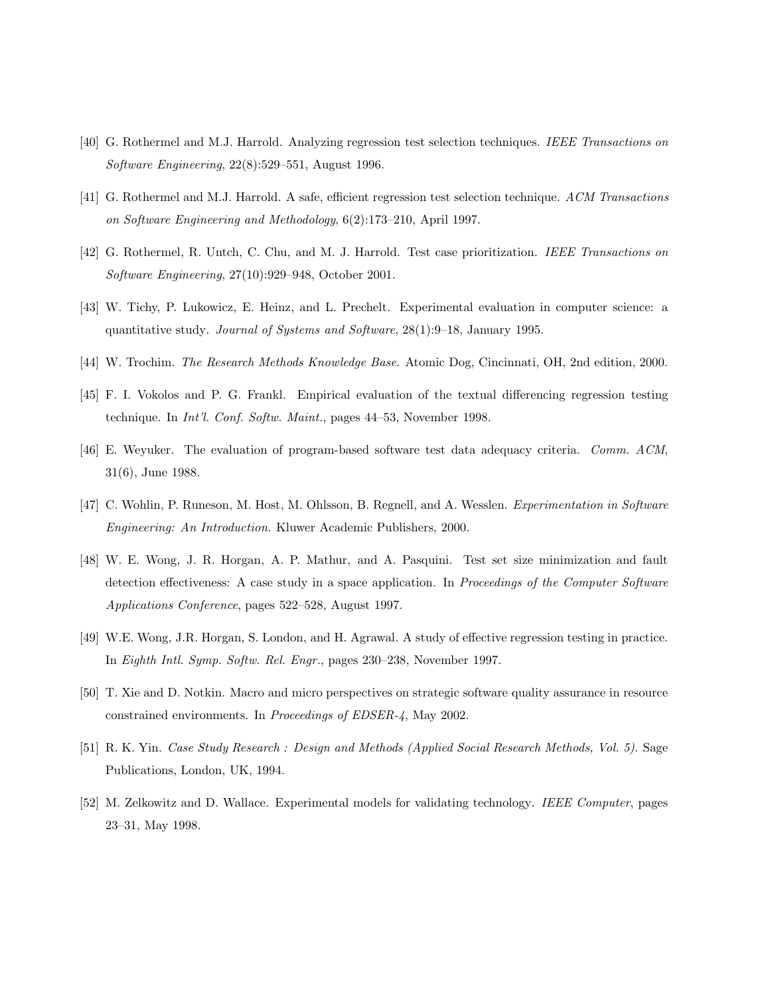- [40] G. Rothermel and M.J. Harrold. Analyzing regression test selection techniques. IEEE Transactions on Software Engineering, 22(8):529–551, August 1996.
- [41] G. Rothermel and M.J. Harrold. A safe, efficient regression test selection technique. ACM Transactions on Software Engineering and Methodology, 6(2):173–210, April 1997.
- [42] G. Rothermel, R. Untch, C. Chu, and M. J. Harrold. Test case prioritization. IEEE Transactions on Software Engineering, 27(10):929–948, October 2001.
- [43] W. Tichy, P. Lukowicz, E. Heinz, and L. Prechelt. Experimental evaluation in computer science: a quantitative study. Journal of Systems and Software, 28(1):9–18, January 1995.
- [44] W. Trochim. The Research Methods Knowledge Base. Atomic Dog, Cincinnati, OH, 2nd edition, 2000.
- [45] F. I. Vokolos and P. G. Frankl. Empirical evaluation of the textual differencing regression testing technique. In Int'l. Conf. Softw. Maint., pages 44–53, November 1998.
- [46] E. Weyuker. The evaluation of program-based software test data adequacy criteria. Comm. ACM, 31(6), June 1988.
- [47] C. Wohlin, P. Runeson, M. Host, M. Ohlsson, B. Regnell, and A. Wesslen. Experimentation in Software Engineering: An Introduction. Kluwer Academic Publishers, 2000.
- [48] W. E. Wong, J. R. Horgan, A. P. Mathur, and A. Pasquini. Test set size minimization and fault detection effectiveness: A case study in a space application. In Proceedings of the Computer Software Applications Conference, pages 522–528, August 1997.
- [49] W.E. Wong, J.R. Horgan, S. London, and H. Agrawal. A study of effective regression testing in practice. In Eighth Intl. Symp. Softw. Rel. Engr., pages 230–238, November 1997.
- [50] T. Xie and D. Notkin. Macro and micro perspectives on strategic software quality assurance in resource constrained environments. In Proceedings of EDSER-4, May 2002.
- [51] R. K. Yin. Case Study Research : Design and Methods (Applied Social Research Methods, Vol. 5). Sage Publications, London, UK, 1994.
- [52] M. Zelkowitz and D. Wallace. Experimental models for validating technology. IEEE Computer, pages 23–31, May 1998.